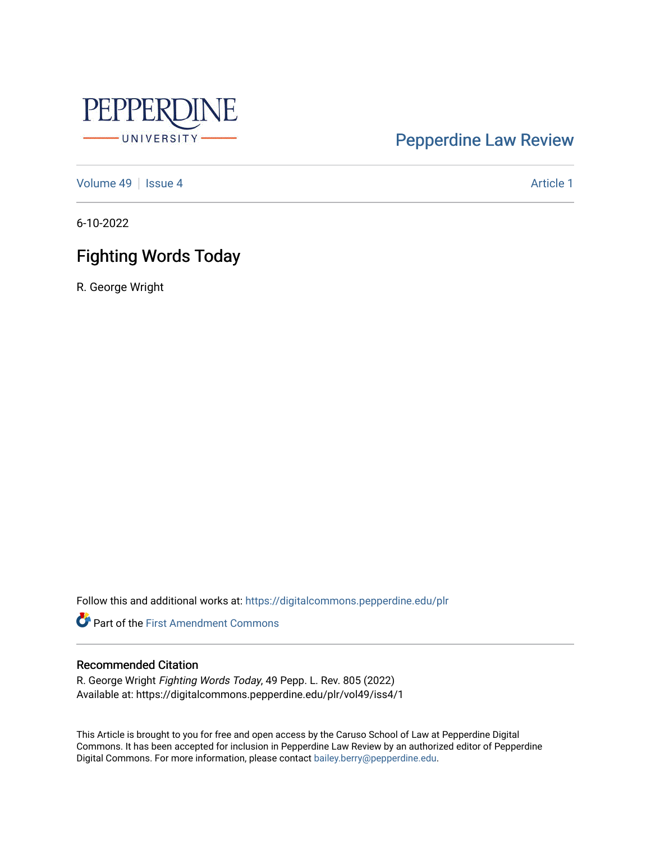

# [Pepperdine Law Review](https://digitalcommons.pepperdine.edu/plr)

[Volume 49](https://digitalcommons.pepperdine.edu/plr/vol49) | [Issue 4](https://digitalcommons.pepperdine.edu/plr/vol49/iss4) Article 1

6-10-2022

# Fighting Words Today

R. George Wright

Follow this and additional works at: [https://digitalcommons.pepperdine.edu/plr](https://digitalcommons.pepperdine.edu/plr?utm_source=digitalcommons.pepperdine.edu%2Fplr%2Fvol49%2Fiss4%2F1&utm_medium=PDF&utm_campaign=PDFCoverPages)

**Part of the First Amendment Commons** 

# Recommended Citation

R. George Wright Fighting Words Today, 49 Pepp. L. Rev. 805 (2022) Available at: https://digitalcommons.pepperdine.edu/plr/vol49/iss4/1

This Article is brought to you for free and open access by the Caruso School of Law at Pepperdine Digital Commons. It has been accepted for inclusion in Pepperdine Law Review by an authorized editor of Pepperdine Digital Commons. For more information, please contact [bailey.berry@pepperdine.edu.](mailto:bailey.berry@pepperdine.edu)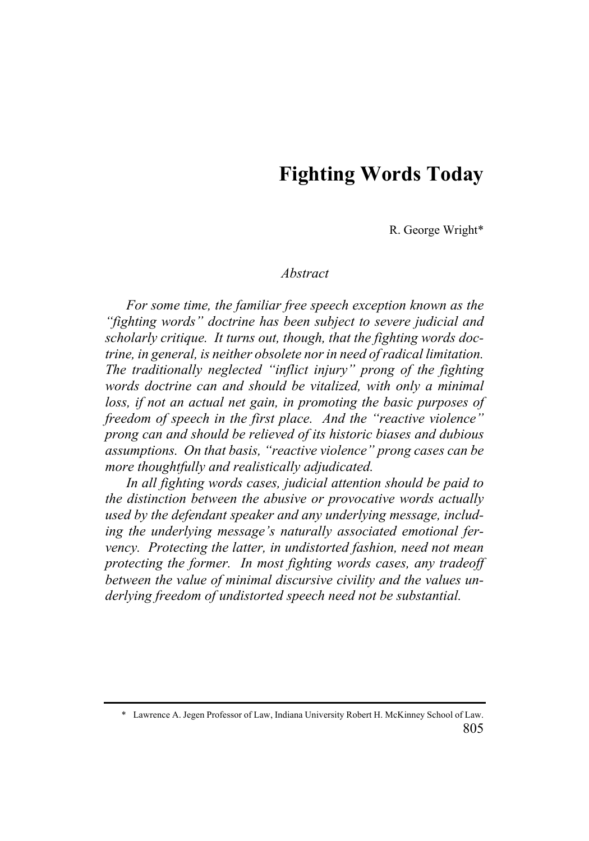# **Fighting Words Today**

R. George Wright\*

## *Abstract*

*For some time, the familiar free speech exception known as the "fighting words" doctrine has been subject to severe judicial and scholarly critique. It turns out, though, that the fighting words doctrine, in general, is neither obsolete nor in need of radical limitation. The traditionally neglected "inflict injury" prong of the fighting words doctrine can and should be vitalized, with only a minimal loss, if not an actual net gain, in promoting the basic purposes of freedom of speech in the first place. And the "reactive violence" prong can and should be relieved of its historic biases and dubious assumptions. On that basis, "reactive violence" prong cases can be more thoughtfully and realistically adjudicated.*

*In all fighting words cases, judicial attention should be paid to the distinction between the abusive or provocative words actually used by the defendant speaker and any underlying message, including the underlying message's naturally associated emotional fervency. Protecting the latter, in undistorted fashion, need not mean protecting the former. In most fighting words cases, any tradeoff between the value of minimal discursive civility and the values underlying freedom of undistorted speech need not be substantial.*

<sup>805</sup> \* Lawrence A. Jegen Professor of Law, Indiana University Robert H. McKinney School of Law.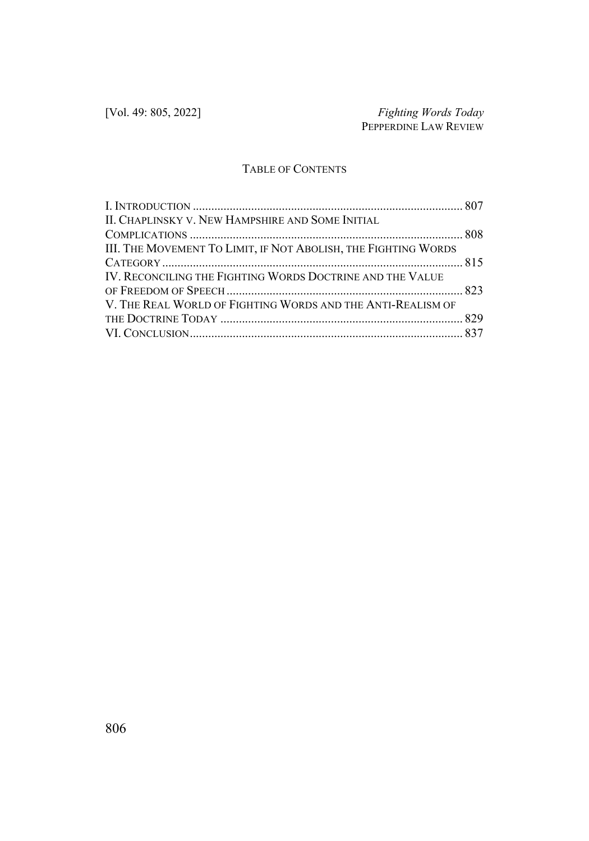# TABLE OF CONTENTS

| II. CHAPLINSKY V. NEW HAMPSHIRE AND SOME INITIAL               |  |
|----------------------------------------------------------------|--|
|                                                                |  |
| III. THE MOVEMENT TO LIMIT, IF NOT ABOLISH, THE FIGHTING WORDS |  |
|                                                                |  |
| IV. RECONCILING THE FIGHTING WORDS DOCTRINE AND THE VALUE      |  |
|                                                                |  |
| V. THE REAL WORLD OF FIGHTING WORDS AND THE ANTI-REALISM OF    |  |
|                                                                |  |
|                                                                |  |
|                                                                |  |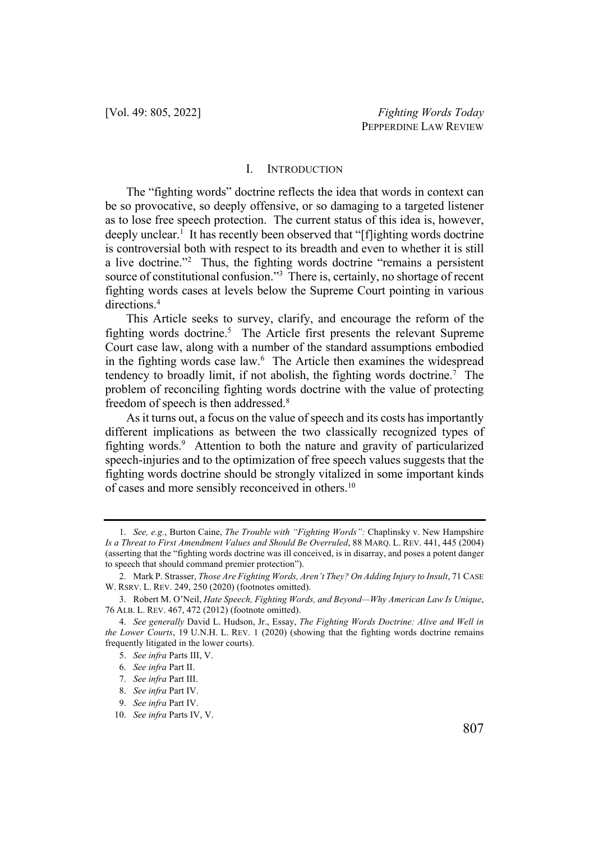#### I. INTRODUCTION

The "fighting words" doctrine reflects the idea that words in context can be so provocative, so deeply offensive, or so damaging to a targeted listener as to lose free speech protection. The current status of this idea is, however, deeply unclear.<sup>1</sup> It has recently been observed that "[f]ighting words doctrine is controversial both with respect to its breadth and even to whether it is still a live doctrine."2 Thus, the fighting words doctrine "remains a persistent source of constitutional confusion."3 There is, certainly, no shortage of recent fighting words cases at levels below the Supreme Court pointing in various directions.4

This Article seeks to survey, clarify, and encourage the reform of the fighting words doctrine.<sup>5</sup> The Article first presents the relevant Supreme Court case law, along with a number of the standard assumptions embodied in the fighting words case law.<sup>6</sup> The Article then examines the widespread tendency to broadly limit, if not abolish, the fighting words doctrine.7 The problem of reconciling fighting words doctrine with the value of protecting freedom of speech is then addressed.<sup>8</sup>

As it turns out, a focus on the value of speech and its costs has importantly different implications as between the two classically recognized types of fighting words.<sup>9</sup> Attention to both the nature and gravity of particularized speech-injuries and to the optimization of free speech values suggests that the fighting words doctrine should be strongly vitalized in some important kinds of cases and more sensibly reconceived in others.10

<sup>1.</sup> *See, e.g.*, Burton Caine, *The Trouble with "Fighting Words":* Chaplinsky v. New Hampshire *Is a Threat to First Amendment Values and Should Be Overruled*, 88 MARQ. L. REV. 441, 445 (2004) (asserting that the "fighting words doctrine was ill conceived, is in disarray, and poses a potent danger to speech that should command premier protection").

<sup>2.</sup> Mark P. Strasser, *Those Are Fighting Words, Aren't They? On Adding Injury to Insult*, 71 CASE W. RSRV. L. REV. 249, 250 (2020) (footnotes omitted).

<sup>3.</sup> Robert M. O'Neil, *Hate Speech, Fighting Words, and Beyond—Why American Law Is Unique*, 76 ALB. L. REV. 467, 472 (2012) (footnote omitted).

<sup>4.</sup> *See generally* David L. Hudson, Jr., Essay, *The Fighting Words Doctrine: Alive and Well in the Lower Courts*, 19 U.N.H. L. REV. 1 (2020) (showing that the fighting words doctrine remains frequently litigated in the lower courts).

<sup>5.</sup> *See infra* Parts III, V.

<sup>6.</sup> *See infra* Part II.

<sup>7.</sup> *See infra* Part III.

<sup>8.</sup> *See infra* Part IV.

<sup>9.</sup> *See infra* Part IV.

<sup>10.</sup> *See infra* Parts IV, V.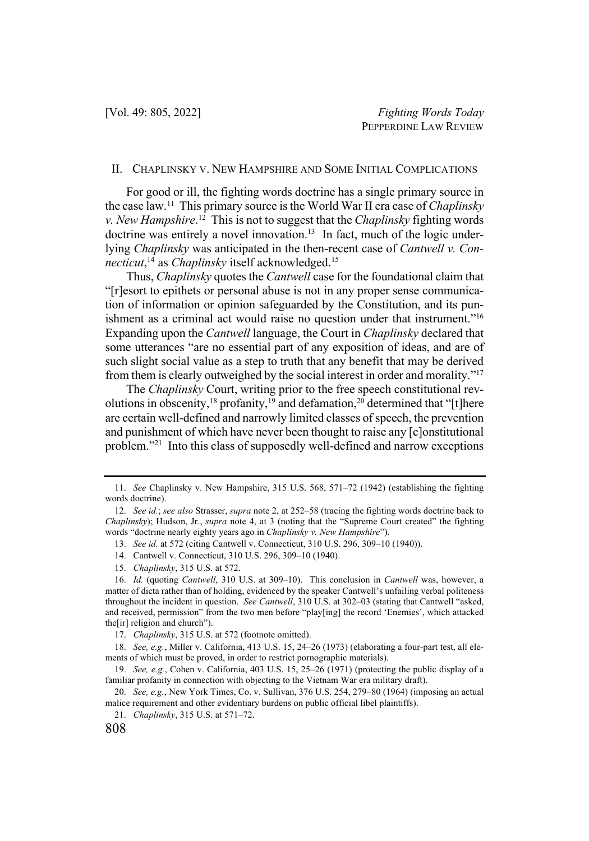### II. CHAPLINSKY V. NEW HAMPSHIRE AND SOME INITIAL COMPLICATIONS

For good or ill, the fighting words doctrine has a single primary source in the case law.11 This primary source is the World War II era case of *Chaplinsky v. New Hampshire*. <sup>12</sup> This is not to suggest that the *Chaplinsky* fighting words doctrine was entirely a novel innovation.<sup>13</sup> In fact, much of the logic underlying *Chaplinsky* was anticipated in the then-recent case of *Cantwell v. Connecticut*, <sup>14</sup> as *Chaplinsky* itself acknowledged.15

Thus, *Chaplinsky* quotes the *Cantwell* case for the foundational claim that "[r]esort to epithets or personal abuse is not in any proper sense communication of information or opinion safeguarded by the Constitution, and its punishment as a criminal act would raise no question under that instrument."16 Expanding upon the *Cantwell* language, the Court in *Chaplinsky* declared that some utterances "are no essential part of any exposition of ideas, and are of such slight social value as a step to truth that any benefit that may be derived from them is clearly outweighed by the social interest in order and morality."17

The *Chaplinsky* Court, writing prior to the free speech constitutional revolutions in obscenity,<sup>18</sup> profanity,<sup>19</sup> and defamation,<sup>20</sup> determined that "[t]here are certain well-defined and narrowly limited classes of speech, the prevention and punishment of which have never been thought to raise any [c]onstitutional problem."21 Into this class of supposedly well-defined and narrow exceptions

<sup>11.</sup> *See* Chaplinsky v. New Hampshire, 315 U.S. 568, 571–72 (1942) (establishing the fighting words doctrine).

<sup>12.</sup> *See id.*; *see also* Strasser, *supra* note 2, at 252–58 (tracing the fighting words doctrine back to *Chaplinsky*); Hudson, Jr., *supra* note 4, at 3 (noting that the "Supreme Court created" the fighting words "doctrine nearly eighty years ago in *Chaplinsky v. New Hampshire*").

<sup>13.</sup> *See id.* at 572 (citing Cantwell v. Connecticut, 310 U.S. 296, 309–10 (1940)).

<sup>14.</sup> Cantwell v. Connecticut, 310 U.S. 296, 309–10 (1940).

<sup>15.</sup> *Chaplinsky*, 315 U.S. at 572.

<sup>16.</sup> *Id.* (quoting *Cantwell*, 310 U.S. at 309–10). This conclusion in *Cantwell* was, however, a matter of dicta rather than of holding, evidenced by the speaker Cantwell's unfailing verbal politeness throughout the incident in question. *See Cantwell*, 310 U.S. at 302–03 (stating that Cantwell "asked, and received, permission" from the two men before "play[ing] the record 'Enemies', which attacked the[ir] religion and church").

<sup>17.</sup> *Chaplinsky*, 315 U.S. at 572 (footnote omitted).

<sup>18.</sup> *See, e.g.*, Miller v. California, 413 U.S. 15, 24–26 (1973) (elaborating a four-part test, all elements of which must be proved, in order to restrict pornographic materials).

<sup>19.</sup> *See, e.g.*, Cohen v. California, 403 U.S. 15, 25–26 (1971) (protecting the public display of a familiar profanity in connection with objecting to the Vietnam War era military draft).

<sup>20.</sup> *See, e.g.*, New York Times, Co. v. Sullivan, 376 U.S. 254, 279–80 (1964) (imposing an actual malice requirement and other evidentiary burdens on public official libel plaintiffs).

<sup>21.</sup> *Chaplinsky*, 315 U.S. at 571–72.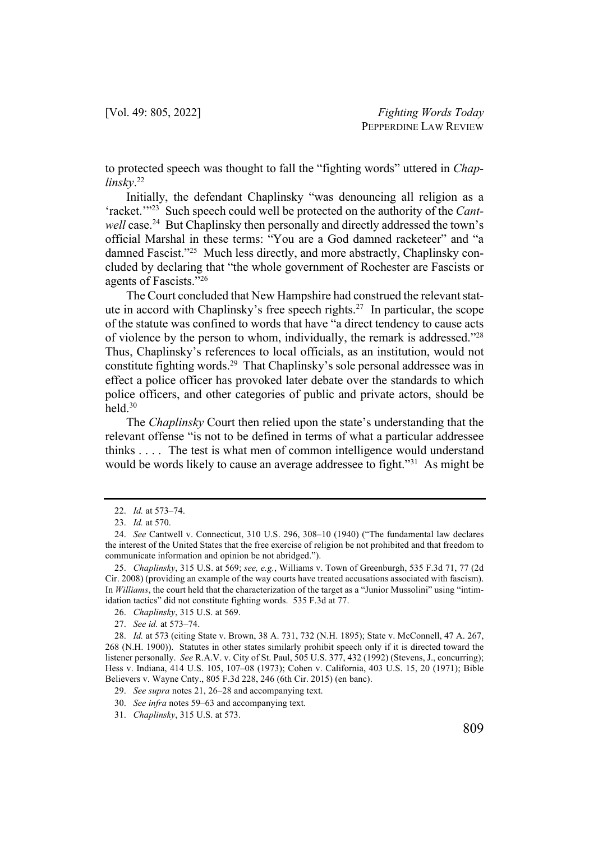to protected speech was thought to fall the "fighting words" uttered in *Chaplinsky*. 22

Initially, the defendant Chaplinsky "was denouncing all religion as a 'racket.'"23 Such speech could well be protected on the authority of the *Cantwell* case.<sup>24</sup> But Chaplinsky then personally and directly addressed the town's official Marshal in these terms: "You are a God damned racketeer" and "a damned Fascist."<sup>25</sup> Much less directly, and more abstractly, Chaplinsky concluded by declaring that "the whole government of Rochester are Fascists or agents of Fascists."26

The Court concluded that New Hampshire had construed the relevant statute in accord with Chaplinsky's free speech rights.27 In particular, the scope of the statute was confined to words that have "a direct tendency to cause acts of violence by the person to whom, individually, the remark is addressed."28 Thus, Chaplinsky's references to local officials, as an institution, would not constitute fighting words.<sup>29</sup> That Chaplinsky's sole personal addressee was in effect a police officer has provoked later debate over the standards to which police officers, and other categories of public and private actors, should be held.30

The *Chaplinsky* Court then relied upon the state's understanding that the relevant offense "is not to be defined in terms of what a particular addressee thinks . . . . The test is what men of common intelligence would understand would be words likely to cause an average addressee to fight."<sup>31</sup> As might be

<sup>22.</sup> *Id.* at 573–74.

<sup>23.</sup> *Id.* at 570.

<sup>24.</sup> *See* Cantwell v. Connecticut, 310 U.S. 296, 308–10 (1940) ("The fundamental law declares the interest of the United States that the free exercise of religion be not prohibited and that freedom to communicate information and opinion be not abridged.").

<sup>25.</sup> *Chaplinsky*, 315 U.S. at 569; *see, e.g.*, Williams v. Town of Greenburgh, 535 F.3d 71, 77 (2d Cir. 2008) (providing an example of the way courts have treated accusations associated with fascism). In *Williams*, the court held that the characterization of the target as a "Junior Mussolini" using "intimidation tactics" did not constitute fighting words. 535 F.3d at 77.

<sup>26.</sup> *Chaplinsky*, 315 U.S. at 569.

<sup>27.</sup> *See id.* at 573–74.

<sup>28.</sup> *Id.* at 573 (citing State v. Brown, 38 A. 731, 732 (N.H. 1895); State v. McConnell, 47 A. 267, 268 (N.H. 1900)). Statutes in other states similarly prohibit speech only if it is directed toward the listener personally. *See* R.A.V. v. City of St. Paul, 505 U.S. 377, 432 (1992) (Stevens, J., concurring); Hess v. Indiana, 414 U.S. 105, 107–08 (1973); Cohen v. California, 403 U.S. 15, 20 (1971); Bible Believers v. Wayne Cnty., 805 F.3d 228, 246 (6th Cir. 2015) (en banc).

<sup>29.</sup> *See supra* notes 21, 26–28 and accompanying text.

<sup>30.</sup> *See infra* notes 59–63 and accompanying text.

<sup>31.</sup> *Chaplinsky*, 315 U.S. at 573.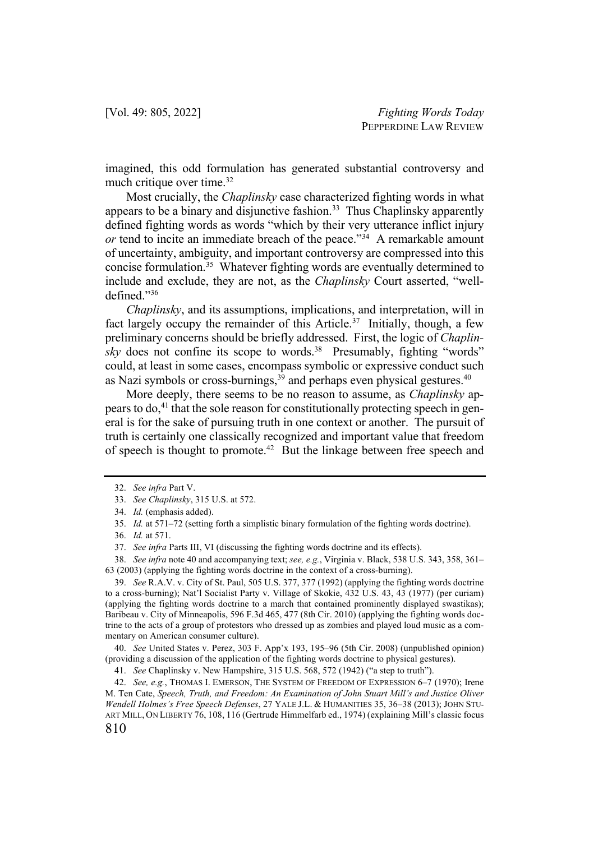imagined, this odd formulation has generated substantial controversy and much critique over time.<sup>32</sup>

Most crucially, the *Chaplinsky* case characterized fighting words in what appears to be a binary and disjunctive fashion.<sup>33</sup> Thus Chaplinsky apparently defined fighting words as words "which by their very utterance inflict injury *or* tend to incite an immediate breach of the peace."<sup>34</sup> A remarkable amount of uncertainty, ambiguity, and important controversy are compressed into this concise formulation.35 Whatever fighting words are eventually determined to include and exclude, they are not, as the *Chaplinsky* Court asserted, "welldefined."36

*Chaplinsky*, and its assumptions, implications, and interpretation, will in fact largely occupy the remainder of this Article.<sup>37</sup> Initially, though, a few preliminary concerns should be briefly addressed. First, the logic of *Chaplinsky* does not confine its scope to words.<sup>38</sup> Presumably, fighting "words" could, at least in some cases, encompass symbolic or expressive conduct such as Nazi symbols or cross-burnings,<sup>39</sup> and perhaps even physical gestures.<sup>40</sup>

More deeply, there seems to be no reason to assume, as *Chaplinsky* appears to do,<sup>41</sup> that the sole reason for constitutionally protecting speech in general is for the sake of pursuing truth in one context or another. The pursuit of truth is certainly one classically recognized and important value that freedom of speech is thought to promote.<sup>42</sup> But the linkage between free speech and

38. *See infra* note 40 and accompanying text; *see, e.g.*, Virginia v. Black, 538 U.S. 343, 358, 361– 63 (2003) (applying the fighting words doctrine in the context of a cross-burning).

39. *See* R.A.V. v. City of St. Paul, 505 U.S. 377, 377 (1992) (applying the fighting words doctrine to a cross-burning); Nat'l Socialist Party v. Village of Skokie, 432 U.S. 43, 43 (1977) (per curiam) (applying the fighting words doctrine to a march that contained prominently displayed swastikas); Baribeau v. City of Minneapolis, 596 F.3d 465, 477 (8th Cir. 2010) (applying the fighting words doctrine to the acts of a group of protestors who dressed up as zombies and played loud music as a commentary on American consumer culture).

40. *See* United States v. Perez, 303 F. App'x 193, 195–96 (5th Cir. 2008) (unpublished opinion) (providing a discussion of the application of the fighting words doctrine to physical gestures).

810 42. *See, e.g.*, THOMAS I. EMERSON, THE SYSTEM OF FREEDOM OF EXPRESSION 6–7 (1970); Irene M. Ten Cate, *Speech, Truth, and Freedom: An Examination of John Stuart Mill's and Justice Oliver Wendell Holmes's Free Speech Defenses*, 27 YALE J.L. & HUMANITIES 35, 36–38 (2013); JOHN STU-ART MILL, ON LIBERTY 76, 108, 116 (Gertrude Himmelfarb ed., 1974) (explaining Mill's classic focus

<sup>32.</sup> *See infra* Part V.

<sup>33.</sup> *See Chaplinsky*, 315 U.S. at 572.

<sup>34.</sup> *Id.* (emphasis added).

<sup>35.</sup> *Id.* at 571–72 (setting forth a simplistic binary formulation of the fighting words doctrine).

<sup>36.</sup> *Id.* at 571.

<sup>37.</sup> *See infra* Parts III, VI (discussing the fighting words doctrine and its effects).

<sup>41.</sup> *See* Chaplinsky v. New Hampshire, 315 U.S. 568, 572 (1942) ("a step to truth").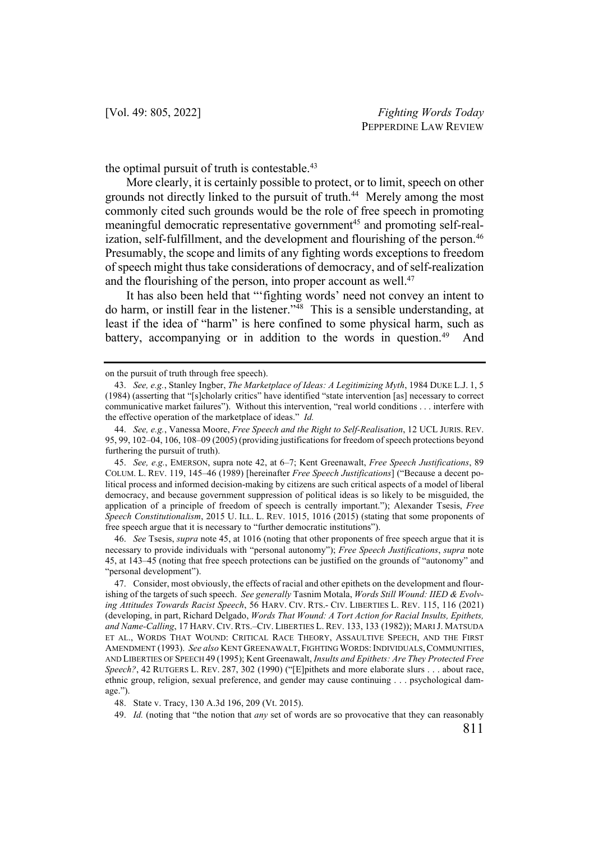the optimal pursuit of truth is contestable.<sup>43</sup>

More clearly, it is certainly possible to protect, or to limit, speech on other grounds not directly linked to the pursuit of truth.<sup>44</sup> Merely among the most commonly cited such grounds would be the role of free speech in promoting meaningful democratic representative government<sup>45</sup> and promoting self-realization, self-fulfillment, and the development and flourishing of the person.<sup>46</sup> Presumably, the scope and limits of any fighting words exceptions to freedom of speech might thus take considerations of democracy, and of self-realization and the flourishing of the person, into proper account as well.<sup>47</sup>

It has also been held that "'fighting words' need not convey an intent to do harm, or instill fear in the listener."48 This is a sensible understanding, at least if the idea of "harm" is here confined to some physical harm, such as battery, accompanying or in addition to the words in question.<sup>49</sup> And

46. *See* Tsesis, *supra* note 45, at 1016 (noting that other proponents of free speech argue that it is necessary to provide individuals with "personal autonomy"); *Free Speech Justifications*, *supra* note 45, at 143–45 (noting that free speech protections can be justified on the grounds of "autonomy" and "personal development").

47. Consider, most obviously, the effects of racial and other epithets on the development and flourishing of the targets of such speech. *See generally* Tasnim Motala, *Words Still Wound: IIED & Evolving Attitudes Towards Racist Speech*, 56 HARV. CIV. RTS.- CIV. LIBERTIES L. REV. 115, 116 (2021) (developing, in part, Richard Delgado, *Words That Wound: A Tort Action for Racial Insults, Epithets, and Name-Calling*, 17 HARV. CIV. RTS.–CIV. LIBERTIES L. REV. 133, 133 (1982)); MARI J. MATSUDA ET AL., WORDS THAT WOUND: CRITICAL RACE THEORY, ASSAULTIVE SPEECH, AND THE FIRST AMENDMENT (1993). *See also* KENT GREENAWALT, FIGHTING WORDS:INDIVIDUALS,COMMUNITIES, AND LIBERTIES OF SPEECH 49 (1995); Kent Greenawalt, *Insults and Epithets: Are They Protected Free Speech?*, 42 RUTGERS L. REV. 287, 302 (1990) ("[E]pithets and more elaborate slurs . . . about race, ethnic group, religion, sexual preference, and gender may cause continuing . . . psychological damage.").

48. State v. Tracy, 130 A.3d 196, 209 (Vt. 2015).

49. *Id.* (noting that "the notion that *any* set of words are so provocative that they can reasonably

on the pursuit of truth through free speech).

<sup>43.</sup> *See, e.g.*, Stanley Ingber, *The Marketplace of Ideas: A Legitimizing Myth*, 1984 DUKE L.J. 1, 5 (1984) (asserting that "[s]cholarly critics" have identified "state intervention [as] necessary to correct communicative market failures"). Without this intervention, "real world conditions . . . interfere with the effective operation of the marketplace of ideas." *Id.*

<sup>44.</sup> *See, e.g.*, Vanessa Moore, *Free Speech and the Right to Self-Realisation*, 12 UCL JURIS. REV. 95, 99, 102–04, 106, 108–09 (2005) (providing justifications for freedom of speech protections beyond furthering the pursuit of truth).

<sup>45.</sup> *See, e.g.*, EMERSON, supra note 42, at 6–7; Kent Greenawalt, *Free Speech Justifications*, 89 COLUM. L. REV. 119, 145–46 (1989) [hereinafter *Free Speech Justifications*] ("Because a decent political process and informed decision-making by citizens are such critical aspects of a model of liberal democracy, and because government suppression of political ideas is so likely to be misguided, the application of a principle of freedom of speech is centrally important."); Alexander Tsesis, *Free Speech Constitutionalism*, 2015 U. ILL. L. REV. 1015, 1016 (2015) (stating that some proponents of free speech argue that it is necessary to "further democratic institutions").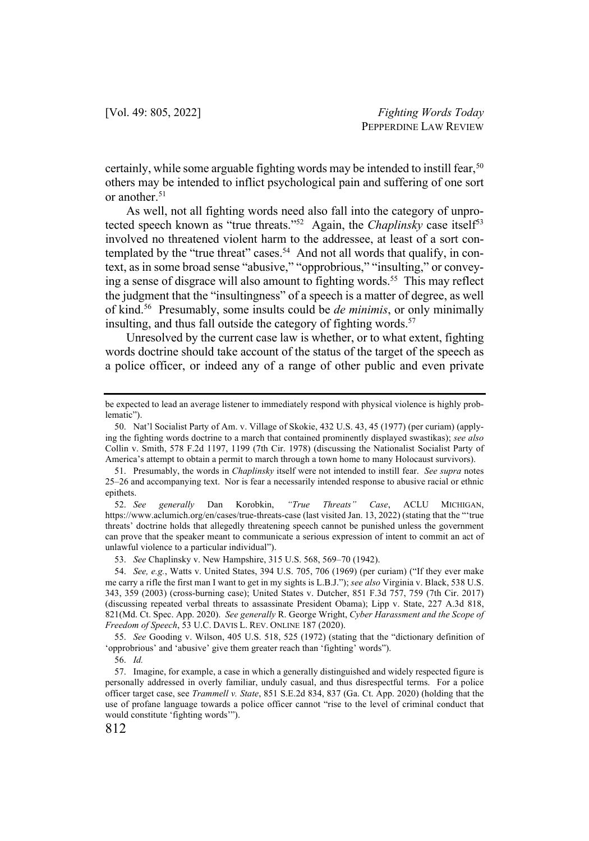certainly, while some arguable fighting words may be intended to instill fear,<sup>50</sup> others may be intended to inflict psychological pain and suffering of one sort or another.<sup>51</sup>

As well, not all fighting words need also fall into the category of unprotected speech known as "true threats."<sup>52</sup> Again, the *Chaplinsky* case itself<sup>53</sup> involved no threatened violent harm to the addressee, at least of a sort contemplated by the "true threat" cases.<sup>54</sup> And not all words that qualify, in context, as in some broad sense "abusive," "opprobrious," "insulting," or conveying a sense of disgrace will also amount to fighting words.<sup>55</sup> This may reflect the judgment that the "insultingness" of a speech is a matter of degree, as well of kind.56 Presumably, some insults could be *de minimis*, or only minimally insulting, and thus fall outside the category of fighting words.<sup>57</sup>

Unresolved by the current case law is whether, or to what extent, fighting words doctrine should take account of the status of the target of the speech as a police officer, or indeed any of a range of other public and even private

53. *See* Chaplinsky v. New Hampshire, 315 U.S. 568, 569–70 (1942).

be expected to lead an average listener to immediately respond with physical violence is highly problematic").

<sup>50.</sup> Nat'l Socialist Party of Am. v. Village of Skokie, 432 U.S. 43, 45 (1977) (per curiam) (applying the fighting words doctrine to a march that contained prominently displayed swastikas); *see also* Collin v. Smith, 578 F.2d 1197, 1199 (7th Cir. 1978) (discussing the Nationalist Socialist Party of America's attempt to obtain a permit to march through a town home to many Holocaust survivors).

<sup>51.</sup> Presumably, the words in *Chaplinsky* itself were not intended to instill fear. *See supra* notes 25–26 and accompanying text. Nor is fear a necessarily intended response to abusive racial or ethnic epithets.

<sup>52.</sup> *See generally* Dan Korobkin, *"True Threats" Case*, ACLU MICHIGAN, https://www.aclumich.org/en/cases/true-threats-case (last visited Jan. 13, 2022) (stating that the "'true threats' doctrine holds that allegedly threatening speech cannot be punished unless the government can prove that the speaker meant to communicate a serious expression of intent to commit an act of unlawful violence to a particular individual").

<sup>54.</sup> *See, e.g.*, Watts v. United States, 394 U.S. 705, 706 (1969) (per curiam) ("If they ever make me carry a rifle the first man I want to get in my sights is L.B.J."); *see also* Virginia v. Black, 538 U.S. 343, 359 (2003) (cross-burning case); United States v. Dutcher, 851 F.3d 757, 759 (7th Cir. 2017) (discussing repeated verbal threats to assassinate President Obama); Lipp v. State, 227 A.3d 818, 821(Md. Ct. Spec. App. 2020). *See generally* R. George Wright, *Cyber Harassment and the Scope of Freedom of Speech*, 53 U.C. DAVIS L. REV. ONLINE 187 (2020).

<sup>55.</sup> *See* Gooding v. Wilson, 405 U.S. 518, 525 (1972) (stating that the "dictionary definition of 'opprobrious' and 'abusive' give them greater reach than 'fighting' words").

<sup>56.</sup> *Id.*

<sup>57.</sup> Imagine, for example, a case in which a generally distinguished and widely respected figure is personally addressed in overly familiar, unduly casual, and thus disrespectful terms. For a police officer target case, see *Trammell v. State*, 851 S.E.2d 834, 837 (Ga. Ct. App. 2020) (holding that the use of profane language towards a police officer cannot "rise to the level of criminal conduct that would constitute 'fighting words'").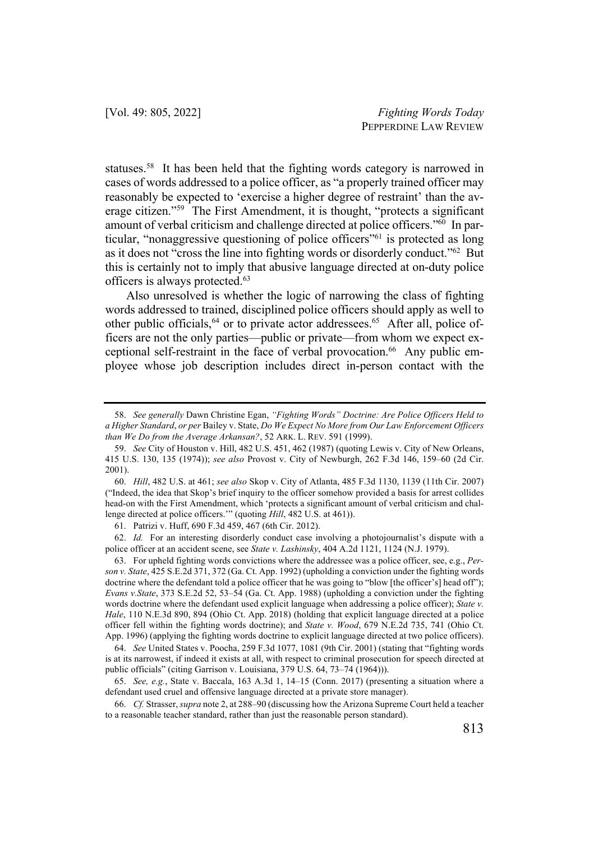statuses.58 It has been held that the fighting words category is narrowed in cases of words addressed to a police officer, as "a properly trained officer may reasonably be expected to 'exercise a higher degree of restraint' than the average citizen."59 The First Amendment, it is thought, "protects a significant amount of verbal criticism and challenge directed at police officers."<sup>60</sup> In particular, "nonaggressive questioning of police officers"61 is protected as long as it does not "cross the line into fighting words or disorderly conduct."62 But this is certainly not to imply that abusive language directed at on-duty police officers is always protected.63

Also unresolved is whether the logic of narrowing the class of fighting words addressed to trained, disciplined police officers should apply as well to other public officials,<sup>64</sup> or to private actor addressees.<sup>65</sup> After all, police officers are not the only parties—public or private—from whom we expect exceptional self-restraint in the face of verbal provocation.<sup>66</sup> Any public employee whose job description includes direct in-person contact with the

61. Patrizi v. Huff, 690 F.3d 459, 467 (6th Cir. 2012).

62. *Id.* For an interesting disorderly conduct case involving a photojournalist's dispute with a police officer at an accident scene, see *State v. Lashinsky*, 404 A.2d 1121, 1124 (N.J. 1979).

63. For upheld fighting words convictions where the addressee was a police officer, see, e.g., *Person v. State*, 425 S.E.2d 371, 372 (Ga. Ct. App. 1992) (upholding a conviction under the fighting words doctrine where the defendant told a police officer that he was going to "blow [the officer's] head off"); *Evans v.State*, 373 S.E.2d 52, 53–54 (Ga. Ct. App. 1988) (upholding a conviction under the fighting words doctrine where the defendant used explicit language when addressing a police officer); *State v. Hale*, 110 N.E.3d 890, 894 (Ohio Ct. App. 2018) (holding that explicit language directed at a police officer fell within the fighting words doctrine); and *State v. Wood*, 679 N.E.2d 735, 741 (Ohio Ct. App. 1996) (applying the fighting words doctrine to explicit language directed at two police officers).

<sup>58.</sup> *See generally* Dawn Christine Egan, *"Fighting Words" Doctrine: Are Police Officers Held to a Higher Standard*, *or per* Bailey v. State, *Do We Expect No More from Our Law Enforcement Officers than We Do from the Average Arkansan?*, 52 ARK. L. REV. 591 (1999).

<sup>59.</sup> *See* City of Houston v. Hill, 482 U.S. 451, 462 (1987) (quoting Lewis v. City of New Orleans, 415 U.S. 130, 135 (1974)); *see also* Provost v. City of Newburgh, 262 F.3d 146, 159–60 (2d Cir. 2001).

<sup>60.</sup> *Hill*, 482 U.S. at 461; *see also* Skop v. City of Atlanta, 485 F.3d 1130, 1139 (11th Cir. 2007) ("Indeed, the idea that Skop's brief inquiry to the officer somehow provided a basis for arrest collides head-on with the First Amendment, which 'protects a significant amount of verbal criticism and challenge directed at police officers.'" (quoting *Hill*, 482 U.S. at 461)).

<sup>64.</sup> *See* United States v. Poocha, 259 F.3d 1077, 1081 (9th Cir. 2001) (stating that "fighting words is at its narrowest, if indeed it exists at all, with respect to criminal prosecution for speech directed at public officials" (citing Garrison v. Louisiana, 379 U.S. 64, 73–74 (1964))).

<sup>65.</sup> *See, e.g.*, State v. Baccala, 163 A.3d 1, 14–15 (Conn. 2017) (presenting a situation where a defendant used cruel and offensive language directed at a private store manager).

<sup>66.</sup> *Cf.* Strasser, *supra* note 2, at 288–90 (discussing how the Arizona Supreme Court held a teacher to a reasonable teacher standard, rather than just the reasonable person standard).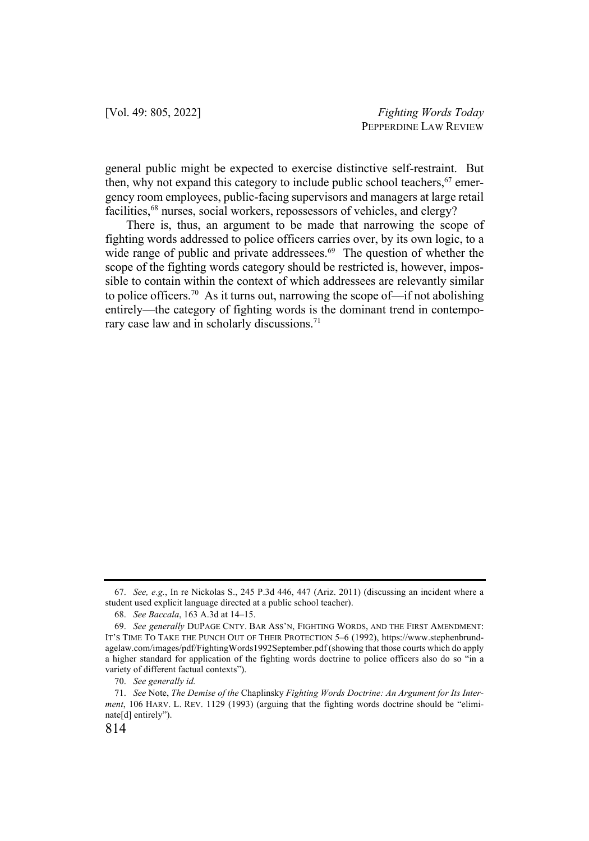general public might be expected to exercise distinctive self-restraint. But then, why not expand this category to include public school teachers,  $67$  emergency room employees, public-facing supervisors and managers at large retail facilities,<sup>68</sup> nurses, social workers, repossessors of vehicles, and clergy?

There is, thus, an argument to be made that narrowing the scope of fighting words addressed to police officers carries over, by its own logic, to a wide range of public and private addressees.<sup>69</sup> The question of whether the scope of the fighting words category should be restricted is, however, impossible to contain within the context of which addressees are relevantly similar to police officers.<sup>70</sup> As it turns out, narrowing the scope of—if not abolishing entirely—the category of fighting words is the dominant trend in contemporary case law and in scholarly discussions.<sup>71</sup>

<sup>67.</sup> *See, e.g.*, In re Nickolas S., 245 P.3d 446, 447 (Ariz. 2011) (discussing an incident where a student used explicit language directed at a public school teacher).

<sup>68.</sup> *See Baccala*, 163 A.3d at 14–15.

<sup>69.</sup> *See generally* DUPAGE CNTY. BAR ASS'N, FIGHTING WORDS, AND THE FIRST AMENDMENT: IT'S TIME TO TAKE THE PUNCH OUT OF THEIR PROTECTION 5–6 (1992), https://www.stephenbrundagelaw.com/images/pdf/FightingWords1992September.pdf (showing that those courts which do apply a higher standard for application of the fighting words doctrine to police officers also do so "in a variety of different factual contexts").

<sup>70.</sup> *See generally id.*

<sup>71.</sup> *See* Note, *The Demise of the* Chaplinsky *Fighting Words Doctrine: An Argument for Its Interment*, 106 HARV. L. REV. 1129 (1993) (arguing that the fighting words doctrine should be "eliminate[d] entirely").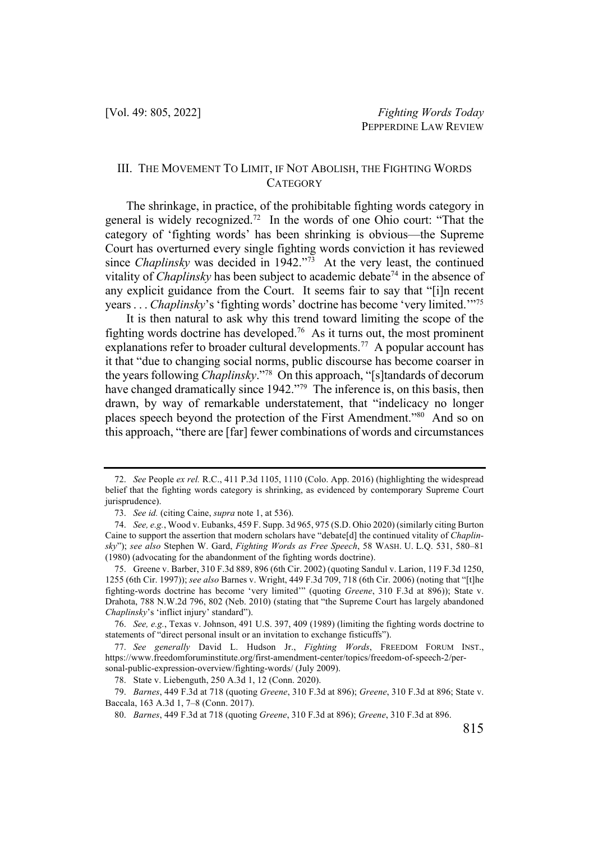### III. THE MOVEMENT TO LIMIT, IF NOT ABOLISH, THE FIGHTING WORDS **CATEGORY**

The shrinkage, in practice, of the prohibitable fighting words category in general is widely recognized.72 In the words of one Ohio court: "That the category of 'fighting words' has been shrinking is obvious—the Supreme Court has overturned every single fighting words conviction it has reviewed since *Chaplinsky* was decided in 1942."<sup>73</sup> At the very least, the continued vitality of *Chaplinsky* has been subject to academic debate<sup>74</sup> in the absence of any explicit guidance from the Court. It seems fair to say that "[i]n recent years . . . *Chaplinsky*'s 'fighting words' doctrine has become 'very limited.'"75

It is then natural to ask why this trend toward limiting the scope of the fighting words doctrine has developed.<sup>76</sup> As it turns out, the most prominent explanations refer to broader cultural developments.<sup>77</sup> A popular account has it that "due to changing social norms, public discourse has become coarser in the years following *Chaplinsky*."78 On this approach, "[s]tandards of decorum have changed dramatically since 1942."<sup>79</sup> The inference is, on this basis, then drawn, by way of remarkable understatement, that "indelicacy no longer places speech beyond the protection of the First Amendment."80 And so on this approach, "there are [far] fewer combinations of words and circumstances

<sup>72.</sup> *See* People *ex rel.* R.C., 411 P.3d 1105, 1110 (Colo. App. 2016) (highlighting the widespread belief that the fighting words category is shrinking, as evidenced by contemporary Supreme Court jurisprudence).

<sup>73.</sup> *See id.* (citing Caine, *supra* note 1, at 536).

<sup>74.</sup> *See, e.g.*, Wood v. Eubanks, 459 F. Supp. 3d 965, 975 (S.D. Ohio 2020) (similarly citing Burton Caine to support the assertion that modern scholars have "debate[d] the continued vitality of *Chaplinsky*"); *see also* Stephen W. Gard, *Fighting Words as Free Speech*, 58 WASH. U. L.Q. 531, 580–81 (1980) (advocating for the abandonment of the fighting words doctrine).

<sup>75.</sup> Greene v. Barber, 310 F.3d 889, 896 (6th Cir. 2002) (quoting Sandul v. Larion, 119 F.3d 1250, 1255 (6th Cir. 1997)); *see also* Barnes v. Wright, 449 F.3d 709, 718 (6th Cir. 2006) (noting that "[t]he fighting-words doctrine has become 'very limited'" (quoting *Greene*, 310 F.3d at 896)); State v. Drahota, 788 N.W.2d 796, 802 (Neb. 2010) (stating that "the Supreme Court has largely abandoned *Chaplinsky*'s 'inflict injury' standard").

<sup>76.</sup> *See, e.g.*, Texas v. Johnson, 491 U.S. 397, 409 (1989) (limiting the fighting words doctrine to statements of "direct personal insult or an invitation to exchange fisticuffs").

<sup>77.</sup> *See generally* David L. Hudson Jr., *Fighting Words*, FREEDOM FORUM INST., https://www.freedomforuminstitute.org/first-amendment-center/topics/freedom-of-speech-2/personal-public-expression-overview/fighting-words/ (July 2009).

<sup>78.</sup> State v. Liebenguth, 250 A.3d 1, 12 (Conn. 2020).

<sup>79.</sup> *Barnes*, 449 F.3d at 718 (quoting *Greene*, 310 F.3d at 896); *Greene*, 310 F.3d at 896; State v. Baccala, 163 A.3d 1, 7–8 (Conn. 2017).

<sup>80.</sup> *Barnes*, 449 F.3d at 718 (quoting *Greene*, 310 F.3d at 896); *Greene*, 310 F.3d at 896.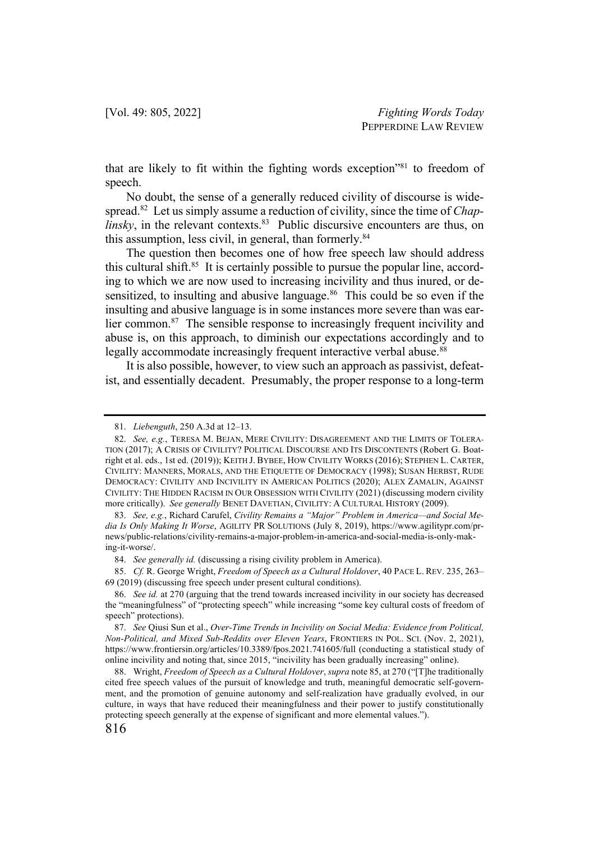that are likely to fit within the fighting words exception"81 to freedom of speech.

No doubt, the sense of a generally reduced civility of discourse is widespread.82 Let us simply assume a reduction of civility, since the time of *Chaplinsky*, in the relevant contexts.<sup>83</sup> Public discursive encounters are thus, on this assumption, less civil, in general, than formerly.<sup>84</sup>

The question then becomes one of how free speech law should address this cultural shift. $85$  It is certainly possible to pursue the popular line, according to which we are now used to increasing incivility and thus inured, or desensitized, to insulting and abusive language.<sup>86</sup> This could be so even if the insulting and abusive language is in some instances more severe than was earlier common.<sup>87</sup> The sensible response to increasingly frequent incivility and abuse is, on this approach, to diminish our expectations accordingly and to legally accommodate increasingly frequent interactive verbal abuse.<sup>88</sup>

It is also possible, however, to view such an approach as passivist, defeatist, and essentially decadent. Presumably, the proper response to a long-term

<sup>81.</sup> *Liebenguth*, 250 A.3d at 12–13.

<sup>82.</sup> *See, e.g.*, TERESA M. BEJAN, MERE CIVILITY: DISAGREEMENT AND THE LIMITS OF TOLERA-TION (2017); A CRISIS OF CIVILITY? POLITICAL DISCOURSE AND ITS DISCONTENTS (Robert G. Boatright et al. eds., 1st ed. (2019)); KEITH J. BYBEE, HOW CIVILITY WORKS (2016); STEPHEN L. CARTER, CIVILITY: MANNERS, MORALS, AND THE ETIQUETTE OF DEMOCRACY (1998); SUSAN HERBST, RUDE DEMOCRACY: CIVILITY AND INCIVILITY IN AMERICAN POLITICS (2020); ALEX ZAMALIN, AGAINST CIVILITY: THE HIDDEN RACISM IN OUR OBSESSION WITH CIVILITY (2021) (discussing modern civility more critically). *See generally* BENET DAVETIAN, CIVILITY: A CULTURAL HISTORY (2009).

<sup>83.</sup> *See, e.g.*, Richard Carufel, *Civility Remains a "Major" Problem in America—and Social Media Is Only Making It Worse*, AGILITY PR SOLUTIONS (July 8, 2019), https://www.agilitypr.com/prnews/public-relations/civility-remains-a-major-problem-in-america-and-social-media-is-only-making-it-worse/.

<sup>84.</sup> *See generally id.* (discussing a rising civility problem in America).

<sup>85.</sup> *Cf.* R. George Wright, *Freedom of Speech as a Cultural Holdover*, 40 PACE L. REV. 235, 263– 69 (2019) (discussing free speech under present cultural conditions).

<sup>86.</sup> *See id.* at 270 (arguing that the trend towards increased incivility in our society has decreased the "meaningfulness" of "protecting speech" while increasing "some key cultural costs of freedom of speech" protections).

<sup>87.</sup> *See* Qiusi Sun et al., *Over-Time Trends in Incivility on Social Media: Evidence from Political, Non-Political, and Mixed Sub-Reddits over Eleven Years*, FRONTIERS IN POL. SCI. (Nov. 2, 2021), https://www.frontiersin.org/articles/10.3389/fpos.2021.741605/full (conducting a statistical study of online incivility and noting that, since 2015, "incivility has been gradually increasing" online).

<sup>88.</sup> Wright, *Freedom of Speech as a Cultural Holdover*, *supra* note 85, at 270 ("[T]he traditionally cited free speech values of the pursuit of knowledge and truth, meaningful democratic self-government, and the promotion of genuine autonomy and self-realization have gradually evolved, in our culture, in ways that have reduced their meaningfulness and their power to justify constitutionally protecting speech generally at the expense of significant and more elemental values.").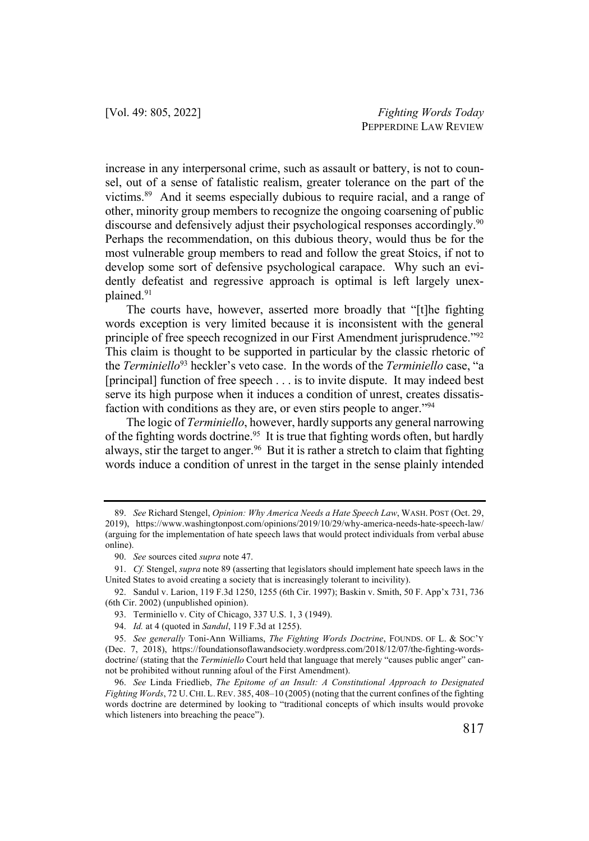increase in any interpersonal crime, such as assault or battery, is not to counsel, out of a sense of fatalistic realism, greater tolerance on the part of the victims.89 And it seems especially dubious to require racial, and a range of other, minority group members to recognize the ongoing coarsening of public discourse and defensively adjust their psychological responses accordingly.<sup>90</sup> Perhaps the recommendation, on this dubious theory, would thus be for the most vulnerable group members to read and follow the great Stoics, if not to develop some sort of defensive psychological carapace. Why such an evidently defeatist and regressive approach is optimal is left largely unexplained.91

The courts have, however, asserted more broadly that "[t]he fighting words exception is very limited because it is inconsistent with the general principle of free speech recognized in our First Amendment jurisprudence."<sup>92</sup> This claim is thought to be supported in particular by the classic rhetoric of the *Terminiello*<sup>93</sup> heckler's veto case. In the words of the *Terminiello* case, "a [principal] function of free speech . . . is to invite dispute. It may indeed best serve its high purpose when it induces a condition of unrest, creates dissatisfaction with conditions as they are, or even stirs people to anger."94

The logic of *Terminiello*, however, hardly supports any general narrowing of the fighting words doctrine.<sup>95</sup> It is true that fighting words often, but hardly always, stir the target to anger.<sup>96</sup> But it is rather a stretch to claim that fighting words induce a condition of unrest in the target in the sense plainly intended

<sup>89.</sup> *See* Richard Stengel, *Opinion: Why America Needs a Hate Speech Law*, WASH. POST (Oct. 29, 2019), https://www.washingtonpost.com/opinions/2019/10/29/why-america-needs-hate-speech-law/ (arguing for the implementation of hate speech laws that would protect individuals from verbal abuse online).

<sup>90.</sup> *See* sources cited *supra* note 47.

<sup>91.</sup> *Cf.* Stengel, *supra* note 89 (asserting that legislators should implement hate speech laws in the United States to avoid creating a society that is increasingly tolerant to incivility).

<sup>92.</sup> Sandul v. Larion, 119 F.3d 1250, 1255 (6th Cir. 1997); Baskin v. Smith, 50 F. App'x 731, 736 (6th Cir. 2002) (unpublished opinion).

<sup>93.</sup> Terminiello v. City of Chicago, 337 U.S. 1, 3 (1949).

<sup>94.</sup> *Id.* at 4 (quoted in *Sandul*, 119 F.3d at 1255).

<sup>95.</sup> *See generally* Toni-Ann Williams, *The Fighting Words Doctrine*, FOUNDS. OF L. & SOC'Y (Dec. 7, 2018), https://foundationsoflawandsociety.wordpress.com/2018/12/07/the-fighting-wordsdoctrine/ (stating that the *Terminiello* Court held that language that merely "causes public anger" cannot be prohibited without running afoul of the First Amendment).

<sup>96.</sup> *See* Linda Friedlieb, *The Epitome of an Insult: A Constitutional Approach to Designated Fighting Words*, 72 U.CHI. L.REV. 385, 408–10 (2005) (noting that the current confines of the fighting words doctrine are determined by looking to "traditional concepts of which insults would provoke which listeners into breaching the peace").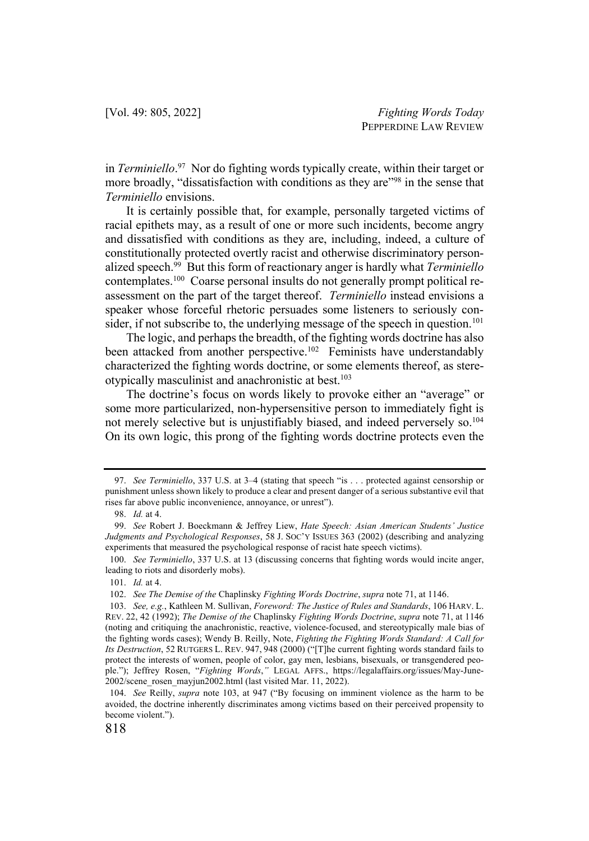in *Terminiello*. 97 Nor do fighting words typically create, within their target or more broadly, "dissatisfaction with conditions as they are"<sup>98</sup> in the sense that *Terminiello* envisions.

It is certainly possible that, for example, personally targeted victims of racial epithets may, as a result of one or more such incidents, become angry and dissatisfied with conditions as they are, including, indeed, a culture of constitutionally protected overtly racist and otherwise discriminatory personalized speech.99 But this form of reactionary anger is hardly what *Terminiello* contemplates.<sup>100</sup> Coarse personal insults do not generally prompt political reassessment on the part of the target thereof. *Terminiello* instead envisions a speaker whose forceful rhetoric persuades some listeners to seriously consider, if not subscribe to, the underlying message of the speech in question.<sup>101</sup>

The logic, and perhaps the breadth, of the fighting words doctrine has also been attacked from another perspective.<sup>102</sup> Feminists have understandably characterized the fighting words doctrine, or some elements thereof, as stereotypically masculinist and anachronistic at best.103

The doctrine's focus on words likely to provoke either an "average" or some more particularized, non-hypersensitive person to immediately fight is not merely selective but is unjustifiably biased, and indeed perversely so.<sup>104</sup> On its own logic, this prong of the fighting words doctrine protects even the

<sup>97.</sup> *See Terminiello*, 337 U.S. at 3–4 (stating that speech "is . . . protected against censorship or punishment unless shown likely to produce a clear and present danger of a serious substantive evil that rises far above public inconvenience, annoyance, or unrest").

<sup>98.</sup> *Id.* at 4.

<sup>99.</sup> *See* Robert J. Boeckmann & Jeffrey Liew, *Hate Speech: Asian American Students' Justice Judgments and Psychological Responses*, 58 J. SOC'Y ISSUES 363 (2002) (describing and analyzing experiments that measured the psychological response of racist hate speech victims).

<sup>100.</sup> *See Terminiello*, 337 U.S. at 13 (discussing concerns that fighting words would incite anger, leading to riots and disorderly mobs).

<sup>101.</sup> *Id.* at 4.

<sup>102.</sup> *See The Demise of the* Chaplinsky *Fighting Words Doctrine*, *supra* note 71, at 1146.

<sup>103.</sup> *See, e.g.*, Kathleen M. Sullivan, *Foreword: The Justice of Rules and Standards*, 106 HARV. L. REV. 22, 42 (1992); *The Demise of the* Chaplinsky *Fighting Words Doctrine*, *supra* note 71, at 1146 (noting and critiquing the anachronistic, reactive, violence-focused, and stereotypically male bias of the fighting words cases); Wendy B. Reilly, Note, *Fighting the Fighting Words Standard: A Call for Its Destruction*, 52 RUTGERS L. REV. 947, 948 (2000) ("[T]he current fighting words standard fails to protect the interests of women, people of color, gay men, lesbians, bisexuals, or transgendered people."); Jeffrey Rosen, "*Fighting Words*,*"* LEGAL AFFS., https://legalaffairs.org/issues/May-June-2002/scene\_rosen\_mayjun2002.html (last visited Mar. 11, 2022).

<sup>104.</sup> *See* Reilly, *supra* note 103, at 947 ("By focusing on imminent violence as the harm to be avoided, the doctrine inherently discriminates among victims based on their perceived propensity to become violent.").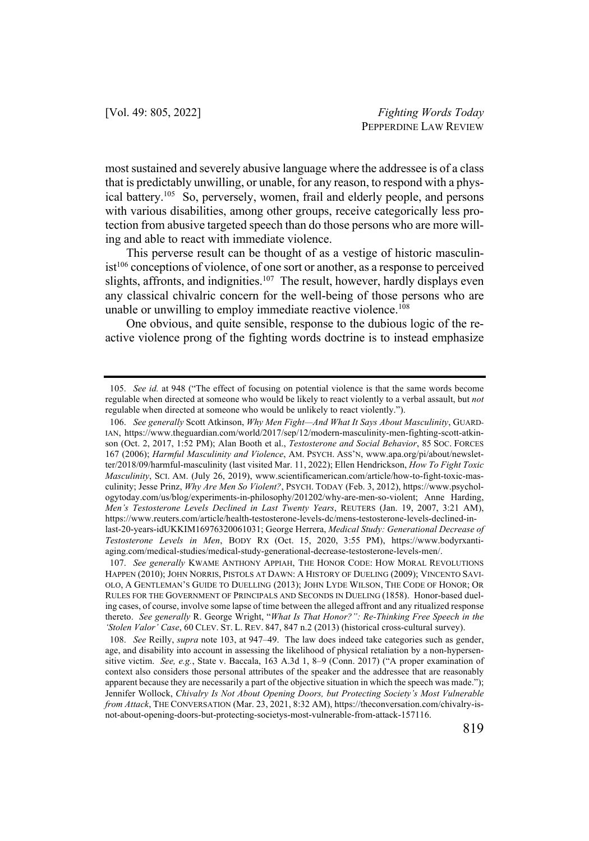most sustained and severely abusive language where the addressee is of a class that is predictably unwilling, or unable, for any reason, to respond with a physical battery.<sup>105</sup> So, perversely, women, frail and elderly people, and persons with various disabilities, among other groups, receive categorically less protection from abusive targeted speech than do those persons who are more willing and able to react with immediate violence.

This perverse result can be thought of as a vestige of historic masculinist<sup>106</sup> conceptions of violence, of one sort or another, as a response to perceived slights, affronts, and indignities. $107$  The result, however, hardly displays even any classical chivalric concern for the well-being of those persons who are unable or unwilling to employ immediate reactive violence.<sup>108</sup>

One obvious, and quite sensible, response to the dubious logic of the reactive violence prong of the fighting words doctrine is to instead emphasize

<sup>105.</sup> *See id.* at 948 ("The effect of focusing on potential violence is that the same words become regulable when directed at someone who would be likely to react violently to a verbal assault, but *not* regulable when directed at someone who would be unlikely to react violently.").

<sup>106.</sup> *See generally* Scott Atkinson, *Why Men Fight—And What It Says About Masculinity*, GUARD-IAN, https://www.theguardian.com/world/2017/sep/12/modern-masculinity-men-fighting-scott-atkinson (Oct. 2, 2017, 1:52 PM); Alan Booth et al., *Testosterone and Social Behavior*, 85 SOC. FORCES 167 (2006); *Harmful Masculinity and Violence*, AM. PSYCH. ASS'N, www.apa.org/pi/about/newsletter/2018/09/harmful-masculinity (last visited Mar. 11, 2022); Ellen Hendrickson, *How To Fight Toxic Masculinity*, SCI. AM. (July 26, 2019), www.scientificamerican.com/article/how-to-fight-toxic-masculinity; Jesse Prinz, *Why Are Men So Violent?*, PSYCH. TODAY (Feb. 3, 2012), https://www.psychologytoday.com/us/blog/experiments-in-philosophy/201202/why-are-men-so-violent; Anne Harding, *Men's Testosterone Levels Declined in Last Twenty Years*, REUTERS (Jan. 19, 2007, 3:21 AM), https://www.reuters.com/article/health-testosterone-levels-dc/mens-testosterone-levels-declined-inlast-20-years-idUKKIM16976320061031; George Herrera, *Medical Study: Generational Decrease of Testosterone Levels in Men*, BODY RX (Oct. 15, 2020, 3:55 PM), https://www.bodyrxantiaging.com/medical-studies/medical-study-generational-decrease-testosterone-levels-men/.

<sup>107.</sup> *See generally* KWAME ANTHONY APPIAH, THE HONOR CODE: HOW MORAL REVOLUTIONS HAPPEN (2010); JOHN NORRIS, PISTOLS AT DAWN: A HISTORY OF DUELING (2009); VINCENTO SAVI-OLO, A GENTLEMAN'S GUIDE TO DUELLING (2013); JOHN LYDE WILSON, THE CODE OF HONOR; OR RULES FOR THE GOVERNMENT OF PRINCIPALS AND SECONDS IN DUELING (1858). Honor-based dueling cases, of course, involve some lapse of time between the alleged affront and any ritualized response thereto. *See generally* R. George Wright, "*What Is That Honor?": Re-Thinking Free Speech in the 'Stolen Valor' Case*, 60 CLEV. ST. L. REV. 847, 847 n.2 (2013) (historical cross-cultural survey).

<sup>108.</sup> *See* Reilly, *supra* note 103, at 947–49. The law does indeed take categories such as gender, age, and disability into account in assessing the likelihood of physical retaliation by a non-hypersensitive victim. *See, e.g.*, State v. Baccala, 163 A.3d 1, 8–9 (Conn. 2017) ("A proper examination of context also considers those personal attributes of the speaker and the addressee that are reasonably apparent because they are necessarily a part of the objective situation in which the speech was made."); Jennifer Wollock, *Chivalry Is Not About Opening Doors, but Protecting Society's Most Vulnerable from Attack*, THE CONVERSATION (Mar. 23, 2021, 8:32 AM), https://theconversation.com/chivalry-isnot-about-opening-doors-but-protecting-societys-most-vulnerable-from-attack-157116.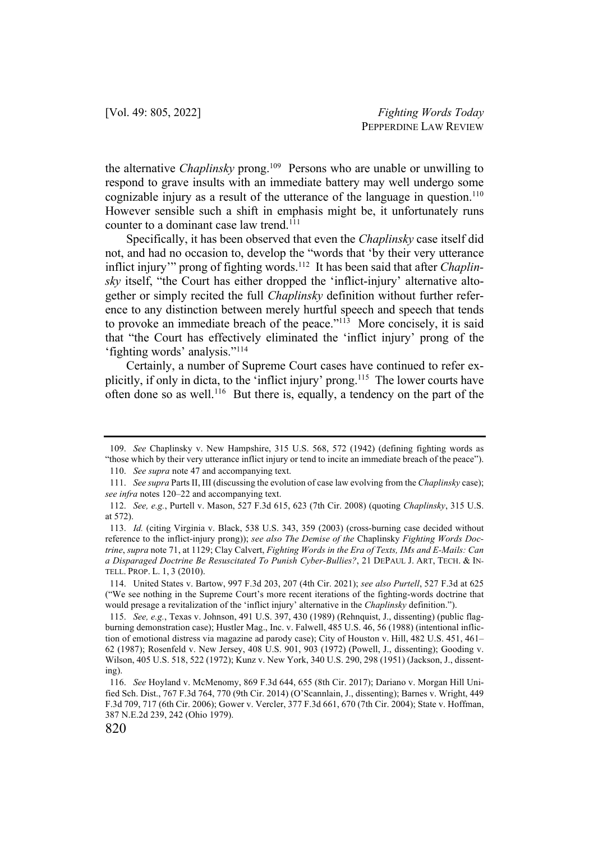the alternative *Chaplinsky* prong.109 Persons who are unable or unwilling to respond to grave insults with an immediate battery may well undergo some cognizable injury as a result of the utterance of the language in question.<sup>110</sup> However sensible such a shift in emphasis might be, it unfortunately runs counter to a dominant case law trend.<sup>111</sup>

Specifically, it has been observed that even the *Chaplinsky* case itself did not, and had no occasion to, develop the "words that 'by their very utterance inflict injury'" prong of fighting words.112 It has been said that after *Chaplinsky* itself, "the Court has either dropped the 'inflict-injury' alternative altogether or simply recited the full *Chaplinsky* definition without further reference to any distinction between merely hurtful speech and speech that tends to provoke an immediate breach of the peace."<sup>113</sup> More concisely, it is said that "the Court has effectively eliminated the 'inflict injury' prong of the 'fighting words' analysis."114

Certainly, a number of Supreme Court cases have continued to refer explicitly, if only in dicta, to the 'inflict injury' prong.115 The lower courts have often done so as well.<sup>116</sup> But there is, equally, a tendency on the part of the

<sup>109.</sup> *See* Chaplinsky v. New Hampshire, 315 U.S. 568, 572 (1942) (defining fighting words as "those which by their very utterance inflict injury or tend to incite an immediate breach of the peace"). 110. *See supra* note 47 and accompanying text.

<sup>111.</sup> *See supra* Parts II, III (discussing the evolution of case law evolving from the *Chaplinsky* case); *see infra* notes 120–22 and accompanying text.

<sup>112.</sup> *See, e.g.*, Purtell v. Mason, 527 F.3d 615, 623 (7th Cir. 2008) (quoting *Chaplinsky*, 315 U.S. at 572).

<sup>113.</sup> *Id.* (citing Virginia v. Black, 538 U.S. 343, 359 (2003) (cross-burning case decided without reference to the inflict-injury prong)); *see also The Demise of the* Chaplinsky *Fighting Words Doctrine*, *supra* note 71, at 1129; Clay Calvert, *Fighting Words in the Era of Texts, IMs and E-Mails: Can a Disparaged Doctrine Be Resuscitated To Punish Cyber-Bullies?*, 21 DEPAUL J. ART, TECH. & IN-TELL. PROP. L. 1, 3 (2010).

<sup>114.</sup> United States v. Bartow, 997 F.3d 203, 207 (4th Cir. 2021); *see also Purtell*, 527 F.3d at 625 ("We see nothing in the Supreme Court's more recent iterations of the fighting-words doctrine that would presage a revitalization of the 'inflict injury' alternative in the *Chaplinsky* definition.").

<sup>115.</sup> *See, e.g.*, Texas v. Johnson, 491 U.S. 397, 430 (1989) (Rehnquist, J., dissenting) (public flagburning demonstration case); Hustler Mag., Inc. v. Falwell, 485 U.S. 46, 56 (1988) (intentional infliction of emotional distress via magazine ad parody case); City of Houston v. Hill, 482 U.S. 451, 461– 62 (1987); Rosenfeld v. New Jersey, 408 U.S. 901, 903 (1972) (Powell, J., dissenting); Gooding v. Wilson, 405 U.S. 518, 522 (1972); Kunz v. New York, 340 U.S. 290, 298 (1951) (Jackson, J., dissenting).

<sup>116.</sup> *See* Hoyland v. McMenomy, 869 F.3d 644, 655 (8th Cir. 2017); Dariano v. Morgan Hill Unified Sch. Dist., 767 F.3d 764, 770 (9th Cir. 2014) (O'Scannlain, J., dissenting); Barnes v. Wright, 449 F.3d 709, 717 (6th Cir. 2006); Gower v. Vercler, 377 F.3d 661, 670 (7th Cir. 2004); State v. Hoffman, 387 N.E.2d 239, 242 (Ohio 1979).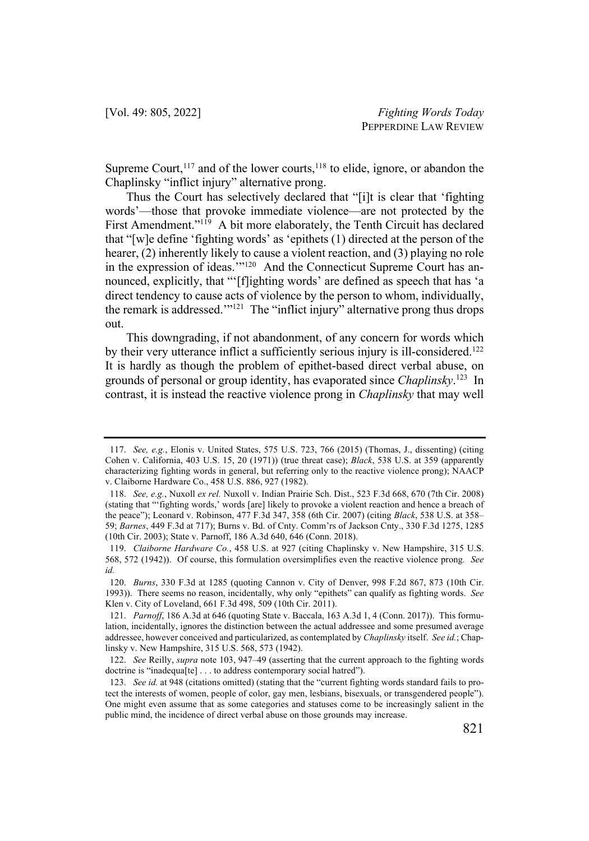Supreme Court,  $117$  and of the lower courts,  $118$  to elide, ignore, or abandon the Chaplinsky "inflict injury" alternative prong.

Thus the Court has selectively declared that "[i]t is clear that 'fighting words'—those that provoke immediate violence—are not protected by the First Amendment."<sup>119</sup> A bit more elaborately, the Tenth Circuit has declared that "[w]e define 'fighting words' as 'epithets (1) directed at the person of the hearer, (2) inherently likely to cause a violent reaction, and (3) playing no role in the expression of ideas.'"<sup>120</sup> And the Connecticut Supreme Court has announced, explicitly, that "'[f]ighting words' are defined as speech that has 'a direct tendency to cause acts of violence by the person to whom, individually, the remark is addressed.'"<sup>121</sup> The "inflict injury" alternative prong thus drops out.

This downgrading, if not abandonment, of any concern for words which by their very utterance inflict a sufficiently serious injury is ill-considered.<sup>122</sup> It is hardly as though the problem of epithet-based direct verbal abuse, on grounds of personal or group identity, has evaporated since *Chaplinsky*. 123 In contrast, it is instead the reactive violence prong in *Chaplinsky* that may well

<sup>117.</sup> *See, e.g.*, Elonis v. United States, 575 U.S. 723, 766 (2015) (Thomas, J., dissenting) (citing Cohen v. California, 403 U.S. 15, 20 (1971)) (true threat case); *Black*, 538 U.S. at 359 (apparently characterizing fighting words in general, but referring only to the reactive violence prong); NAACP v. Claiborne Hardware Co., 458 U.S. 886, 927 (1982).

<sup>118.</sup> *See, e.g.*, Nuxoll *ex rel.* Nuxoll v. Indian Prairie Sch. Dist., 523 F.3d 668, 670 (7th Cir. 2008) (stating that "'fighting words,' words [are] likely to provoke a violent reaction and hence a breach of the peace"); Leonard v. Robinson, 477 F.3d 347, 358 (6th Cir. 2007) (citing *Black*, 538 U.S. at 358– 59; *Barnes*, 449 F.3d at 717); Burns v. Bd. of Cnty. Comm'rs of Jackson Cnty., 330 F.3d 1275, 1285 (10th Cir. 2003); State v. Parnoff, 186 A.3d 640, 646 (Conn. 2018).

<sup>119.</sup> *Claiborne Hardware Co.*, 458 U.S. at 927 (citing Chaplinsky v. New Hampshire, 315 U.S. 568, 572 (1942)). Of course, this formulation oversimplifies even the reactive violence prong*. See id.*

<sup>120.</sup> *Burns*, 330 F.3d at 1285 (quoting Cannon v. City of Denver, 998 F.2d 867, 873 (10th Cir. 1993)). There seems no reason, incidentally, why only "epithets" can qualify as fighting words. *See* Klen v. City of Loveland, 661 F.3d 498, 509 (10th Cir. 2011).

<sup>121.</sup> *Parnoff*, 186 A.3d at 646 (quoting State v. Baccala, 163 A.3d 1, 4 (Conn. 2017)). This formulation, incidentally, ignores the distinction between the actual addressee and some presumed average addressee, however conceived and particularized, as contemplated by *Chaplinsky* itself. *See id.*; Chaplinsky v. New Hampshire, 315 U.S. 568, 573 (1942).

<sup>122.</sup> *See* Reilly, *supra* note 103, 947–49 (asserting that the current approach to the fighting words doctrine is "inadequa[te] . . . to address contemporary social hatred").

<sup>123.</sup> *See id.* at 948 (citations omitted) (stating that the "current fighting words standard fails to protect the interests of women, people of color, gay men, lesbians, bisexuals, or transgendered people"). One might even assume that as some categories and statuses come to be increasingly salient in the public mind, the incidence of direct verbal abuse on those grounds may increase.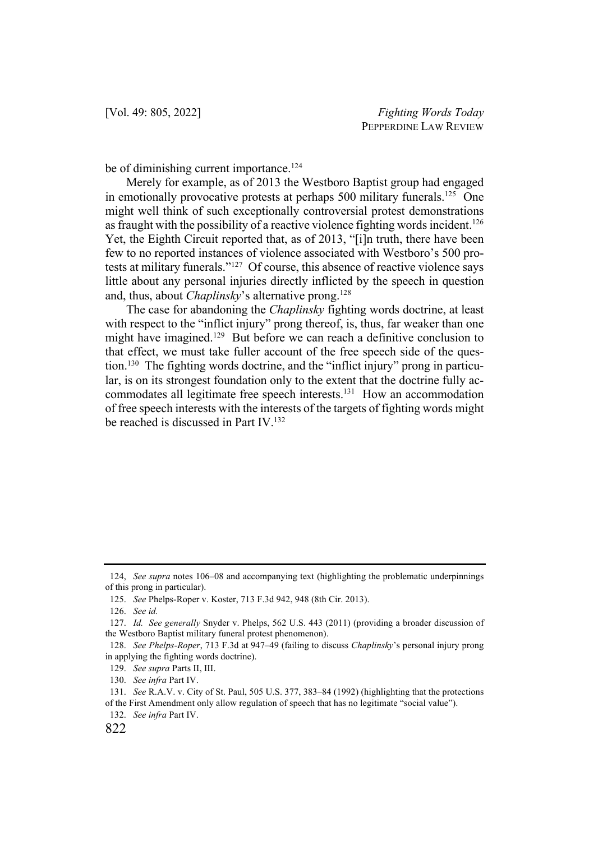be of diminishing current importance.<sup>124</sup>

Merely for example, as of 2013 the Westboro Baptist group had engaged in emotionally provocative protests at perhaps  $500$  military funerals.<sup>125</sup> One might well think of such exceptionally controversial protest demonstrations as fraught with the possibility of a reactive violence fighting words incident.<sup>126</sup> Yet, the Eighth Circuit reported that, as of 2013, "[i]n truth, there have been few to no reported instances of violence associated with Westboro's 500 protests at military funerals."127 Of course, this absence of reactive violence says little about any personal injuries directly inflicted by the speech in question and, thus, about *Chaplinsky*'s alternative prong.128

The case for abandoning the *Chaplinsky* fighting words doctrine, at least with respect to the "inflict injury" prong thereof, is, thus, far weaker than one might have imagined.<sup>129</sup> But before we can reach a definitive conclusion to that effect, we must take fuller account of the free speech side of the question.130 The fighting words doctrine, and the "inflict injury" prong in particular, is on its strongest foundation only to the extent that the doctrine fully accommodates all legitimate free speech interests.131 How an accommodation of free speech interests with the interests of the targets of fighting words might be reached is discussed in Part IV. 132

<sup>124,</sup> *See supra* notes 106–08 and accompanying text (highlighting the problematic underpinnings of this prong in particular).

<sup>125.</sup> *See* Phelps-Roper v. Koster, 713 F.3d 942, 948 (8th Cir. 2013).

<sup>126.</sup> *See id.*

<sup>127.</sup> *Id. See generally* Snyder v. Phelps, 562 U.S. 443 (2011) (providing a broader discussion of the Westboro Baptist military funeral protest phenomenon).

<sup>128.</sup> *See Phelps-Roper*, 713 F.3d at 947–49 (failing to discuss *Chaplinsky*'s personal injury prong in applying the fighting words doctrine).

<sup>129.</sup> *See supra* Parts II, III.

<sup>130.</sup> *See infra* Part IV.

<sup>131.</sup> *See* R.A.V. v. City of St. Paul, 505 U.S. 377, 383–84 (1992) (highlighting that the protections

of the First Amendment only allow regulation of speech that has no legitimate "social value").

<sup>132.</sup> *See infra* Part IV.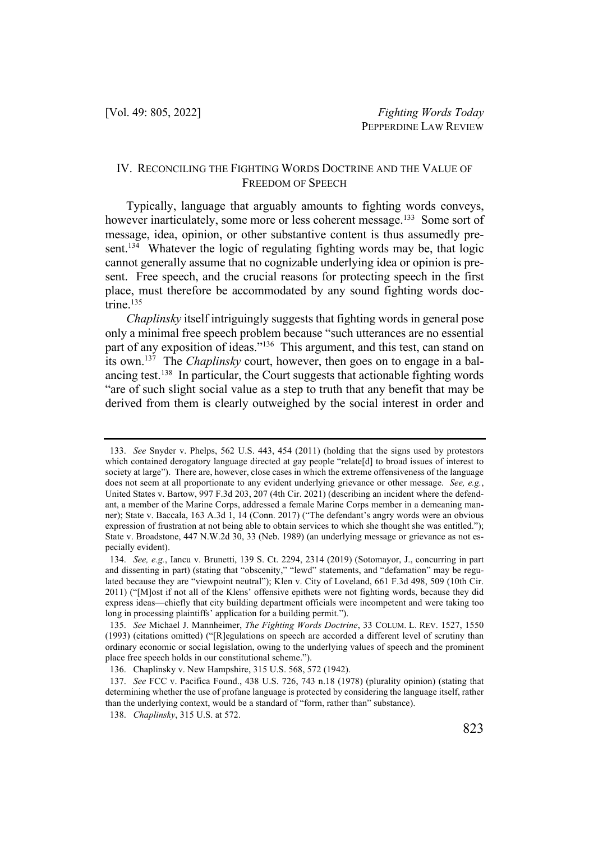### IV. RECONCILING THE FIGHTING WORDS DOCTRINE AND THE VALUE OF FREEDOM OF SPEECH

Typically, language that arguably amounts to fighting words conveys, however inarticulately, some more or less coherent message.<sup>133</sup> Some sort of message, idea, opinion, or other substantive content is thus assumedly present.<sup>134</sup> Whatever the logic of regulating fighting words may be, that logic cannot generally assume that no cognizable underlying idea or opinion is present. Free speech, and the crucial reasons for protecting speech in the first place, must therefore be accommodated by any sound fighting words doctrine.<sup>135</sup>

*Chaplinsky* itself intriguingly suggests that fighting words in general pose only a minimal free speech problem because "such utterances are no essential part of any exposition of ideas."<sup>136</sup> This argument, and this test, can stand on its own.137 The *Chaplinsky* court, however, then goes on to engage in a balancing test.<sup>138</sup> In particular, the Court suggests that actionable fighting words "are of such slight social value as a step to truth that any benefit that may be derived from them is clearly outweighed by the social interest in order and

<sup>133.</sup> *See* Snyder v. Phelps, 562 U.S. 443, 454 (2011) (holding that the signs used by protestors which contained derogatory language directed at gay people "relate[d] to broad issues of interest to society at large"). There are, however, close cases in which the extreme offensiveness of the language does not seem at all proportionate to any evident underlying grievance or other message. *See, e.g.*, United States v. Bartow, 997 F.3d 203, 207 (4th Cir. 2021) (describing an incident where the defendant, a member of the Marine Corps, addressed a female Marine Corps member in a demeaning manner); State v. Baccala, 163 A.3d 1, 14 (Conn. 2017) ("The defendant's angry words were an obvious expression of frustration at not being able to obtain services to which she thought she was entitled."); State v. Broadstone, 447 N.W.2d 30, 33 (Neb. 1989) (an underlying message or grievance as not especially evident).

<sup>134.</sup> *See, e.g.*, Iancu v. Brunetti, 139 S. Ct. 2294, 2314 (2019) (Sotomayor, J., concurring in part and dissenting in part) (stating that "obscenity," "lewd" statements, and "defamation" may be regulated because they are "viewpoint neutral"); Klen v. City of Loveland, 661 F.3d 498, 509 (10th Cir. 2011) ("[M]ost if not all of the Klens' offensive epithets were not fighting words, because they did express ideas—chiefly that city building department officials were incompetent and were taking too long in processing plaintiffs' application for a building permit.").

<sup>135.</sup> *See* Michael J. Mannheimer, *The Fighting Words Doctrine*, 33 COLUM. L. REV. 1527, 1550 (1993) (citations omitted) ("[R]egulations on speech are accorded a different level of scrutiny than ordinary economic or social legislation, owing to the underlying values of speech and the prominent place free speech holds in our constitutional scheme.").

<sup>136.</sup> Chaplinsky v. New Hampshire, 315 U.S. 568, 572 (1942).

<sup>137.</sup> *See* FCC v. Pacifica Found., 438 U.S. 726, 743 n.18 (1978) (plurality opinion) (stating that determining whether the use of profane language is protected by considering the language itself, rather than the underlying context, would be a standard of "form, rather than" substance).

<sup>138.</sup> *Chaplinsky*, 315 U.S. at 572.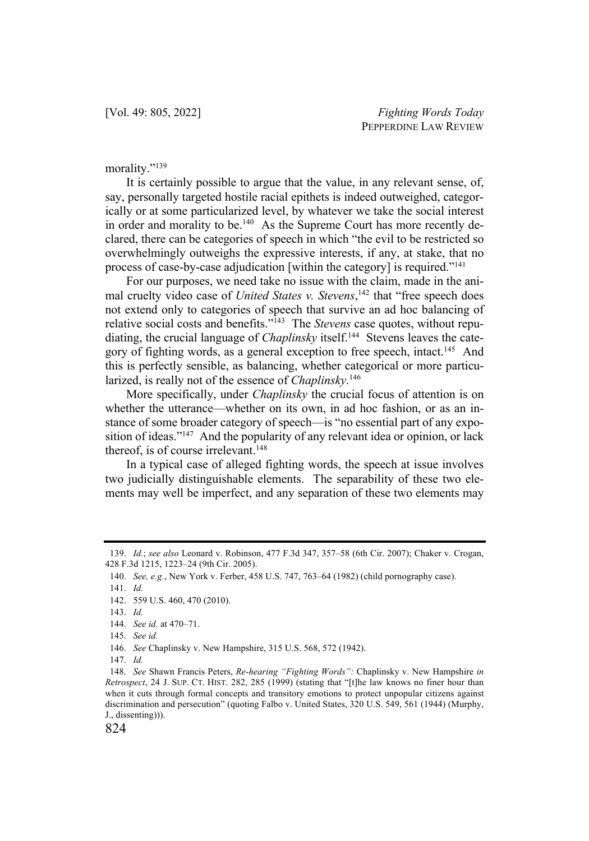morality."<sup>139</sup>

It is certainly possible to argue that the value, in any relevant sense, of, say, personally targeted hostile racial epithets is indeed outweighed, categorically or at some particularized level, by whatever we take the social interest in order and morality to be.<sup>140</sup> As the Supreme Court has more recently declared, there can be categories of speech in which "the evil to be restricted so overwhelmingly outweighs the expressive interests, if any, at stake, that no process of case-by-case adjudication [within the category] is required."141

For our purposes, we need take no issue with the claim, made in the animal cruelty video case of *United States v. Stevens*,<sup>142</sup> that "free speech does not extend only to categories of speech that survive an ad hoc balancing of relative social costs and benefits."143 The *Stevens* case quotes, without repudiating, the crucial language of *Chaplinsky* itself.<sup>144</sup> Stevens leaves the category of fighting words, as a general exception to free speech, intact.<sup>145</sup> And this is perfectly sensible, as balancing, whether categorical or more particularized, is really not of the essence of *Chaplinsky*. 146

More specifically, under *Chaplinsky* the crucial focus of attention is on whether the utterance—whether on its own, in ad hoc fashion, or as an instance of some broader category of speech—is "no essential part of any exposition of ideas."<sup>147</sup> And the popularity of any relevant idea or opinion, or lack thereof, is of course irrelevant.<sup>148</sup>

In a typical case of alleged fighting words, the speech at issue involves two judicially distinguishable elements. The separability of these two elements may well be imperfect, and any separation of these two elements may

146. *See* Chaplinsky v. New Hampshire, 315 U.S. 568, 572 (1942).

<sup>139.</sup> *Id.*; *see also* Leonard v. Robinson, 477 F.3d 347, 357–58 (6th Cir. 2007); Chaker v. Crogan, 428 F.3d 1215, 1223–24 (9th Cir. 2005).

<sup>140.</sup> *See, e.g.*, New York v. Ferber, 458 U.S. 747, 763–64 (1982) (child pornography case).

<sup>141.</sup> *Id.*

<sup>142.</sup> 559 U.S. 460, 470 (2010).

<sup>143.</sup> *Id.*

<sup>144.</sup> *See id.* at 470–71.

<sup>145.</sup> *See id.*

<sup>147.</sup> *Id.* 

<sup>148.</sup> *See* Shawn Francis Peters, *Re-hearing "Fighting Words":* Chaplinsky v. New Hampshire *in Retrospect*, 24 J. SUP. CT. HIST. 282, 285 (1999) (stating that "[t]he law knows no finer hour than when it cuts through formal concepts and transitory emotions to protect unpopular citizens against discrimination and persecution" (quoting Falbo v. United States, 320 U.S. 549, 561 (1944) (Murphy, J., dissenting))).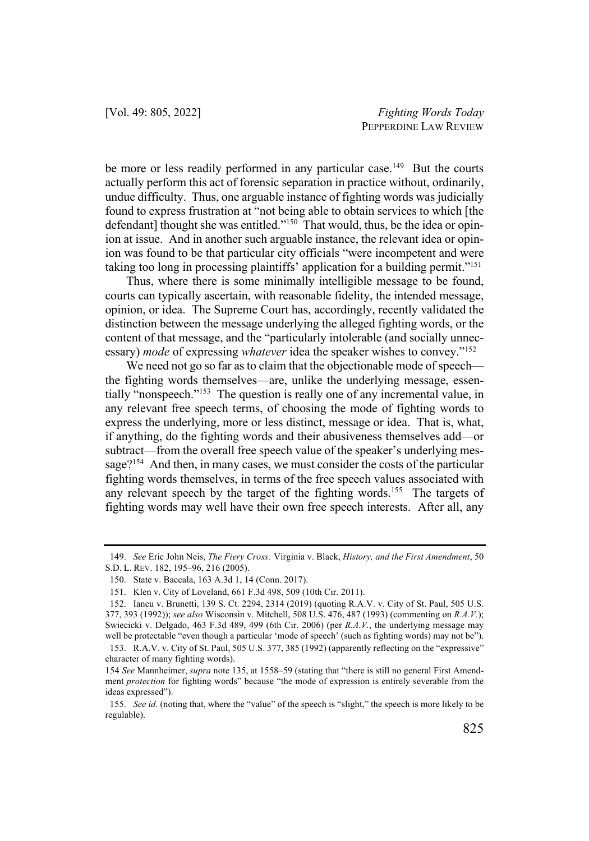be more or less readily performed in any particular case.<sup>149</sup> But the courts actually perform this act of forensic separation in practice without, ordinarily, undue difficulty. Thus, one arguable instance of fighting words was judicially found to express frustration at "not being able to obtain services to which [the defendant] thought she was entitled."<sup>150</sup> That would, thus, be the idea or opinion at issue. And in another such arguable instance, the relevant idea or opinion was found to be that particular city officials "were incompetent and were taking too long in processing plaintiffs' application for a building permit."151

Thus, where there is some minimally intelligible message to be found, courts can typically ascertain, with reasonable fidelity, the intended message, opinion, or idea. The Supreme Court has, accordingly, recently validated the distinction between the message underlying the alleged fighting words, or the content of that message, and the "particularly intolerable (and socially unnecessary) *mode* of expressing *whatever* idea the speaker wishes to convey."152

We need not go so far as to claim that the objectionable mode of speech the fighting words themselves—are, unlike the underlying message, essentially "nonspeech."153 The question is really one of any incremental value, in any relevant free speech terms, of choosing the mode of fighting words to express the underlying, more or less distinct, message or idea. That is, what, if anything, do the fighting words and their abusiveness themselves add—or subtract—from the overall free speech value of the speaker's underlying message?<sup>154</sup> And then, in many cases, we must consider the costs of the particular fighting words themselves, in terms of the free speech values associated with any relevant speech by the target of the fighting words.<sup>155</sup> The targets of fighting words may well have their own free speech interests. After all, any

<sup>149.</sup> *See* Eric John Neis, *The Fiery Cross:* Virginia v. Black, *History, and the First Amendment*, 50 S.D. L. REV. 182, 195–96, 216 (2005).

<sup>150.</sup> State v. Baccala, 163 A.3d 1, 14 (Conn. 2017).

<sup>151.</sup> Klen v. City of Loveland, 661 F.3d 498, 509 (10th Cir. 2011).

<sup>152.</sup> Iancu v. Brunetti, 139 S. Ct. 2294, 2314 (2019) (quoting R.A.V. v. City of St. Paul, 505 U.S. 377, 393 (1992)); *see also* Wisconsin v. Mitchell, 508 U.S. 476, 487 (1993) (commenting on *R.A.V.*); Swiecicki v. Delgado, 463 F.3d 489, 499 (6th Cir. 2006) (per *R.A.V.*, the underlying message may well be protectable "even though a particular 'mode of speech' (such as fighting words) may not be").

<sup>153.</sup> R.A.V. v. City of St. Paul, 505 U.S. 377, 385 (1992) (apparently reflecting on the "expressive" character of many fighting words).

<sup>154</sup> *See* Mannheimer, *supra* note 135, at 1558–59 (stating that "there is still no general First Amendment *protection* for fighting words" because "the mode of expression is entirely severable from the ideas expressed").

<sup>155.</sup> *See id.* (noting that, where the "value" of the speech is "slight," the speech is more likely to be regulable).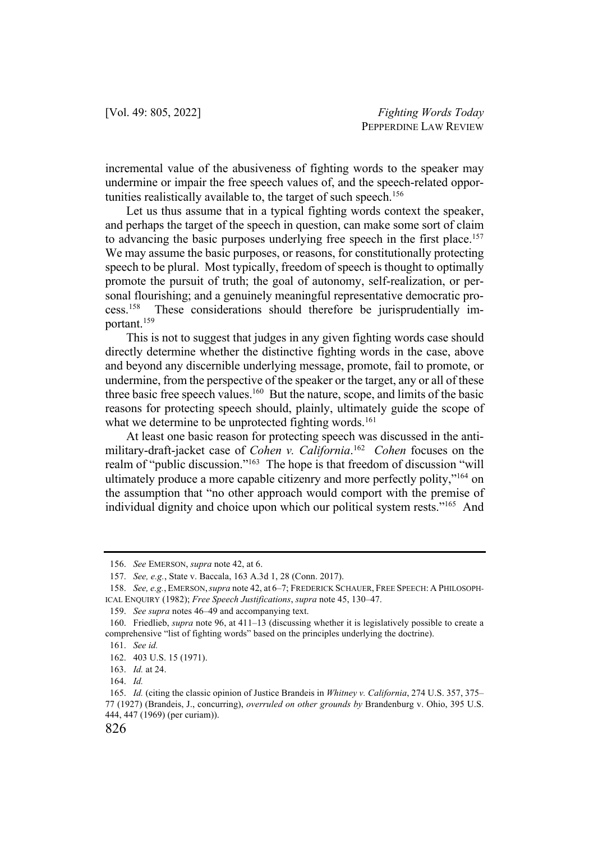incremental value of the abusiveness of fighting words to the speaker may undermine or impair the free speech values of, and the speech-related opportunities realistically available to, the target of such speech.<sup>156</sup>

Let us thus assume that in a typical fighting words context the speaker, and perhaps the target of the speech in question, can make some sort of claim to advancing the basic purposes underlying free speech in the first place.<sup>157</sup> We may assume the basic purposes, or reasons, for constitutionally protecting speech to be plural. Most typically, freedom of speech is thought to optimally promote the pursuit of truth; the goal of autonomy, self-realization, or personal flourishing; and a genuinely meaningful representative democratic process.158 These considerations should therefore be jurisprudentially important.159

This is not to suggest that judges in any given fighting words case should directly determine whether the distinctive fighting words in the case, above and beyond any discernible underlying message, promote, fail to promote, or undermine, from the perspective of the speaker or the target, any or all of these three basic free speech values.<sup>160</sup> But the nature, scope, and limits of the basic reasons for protecting speech should, plainly, ultimately guide the scope of what we determine to be unprotected fighting words.<sup>161</sup>

At least one basic reason for protecting speech was discussed in the antimilitary-draft-jacket case of *Cohen v. California*. 162 *Cohen* focuses on the realm of "public discussion."163 The hope is that freedom of discussion "will ultimately produce a more capable citizenry and more perfectly polity,"164 on the assumption that "no other approach would comport with the premise of individual dignity and choice upon which our political system rests."165 And

<sup>156.</sup> *See* EMERSON, *supra* note 42, at 6.

<sup>157.</sup> *See, e.g.*, State v. Baccala, 163 A.3d 1, 28 (Conn. 2017).

<sup>158.</sup> *See, e.g.*, EMERSON,*supra* note 42, at 6–7; FREDERICK SCHAUER, FREE SPEECH: A PHILOSOPH-ICAL ENQUIRY (1982); *Free Speech Justifications*, *supra* note 45, 130–47.

<sup>159.</sup> *See supra* notes 46–49 and accompanying text.

<sup>160.</sup> Friedlieb, *supra* note 96, at 411–13 (discussing whether it is legislatively possible to create a comprehensive "list of fighting words" based on the principles underlying the doctrine).

<sup>161.</sup> *See id.*

<sup>162.</sup> 403 U.S. 15 (1971).

<sup>163.</sup> *Id.* at 24.

<sup>164.</sup> *Id.*

<sup>165.</sup> *Id.* (citing the classic opinion of Justice Brandeis in *Whitney v. California*, 274 U.S. 357, 375– 77 (1927) (Brandeis, J., concurring), *overruled on other grounds by* Brandenburg v. Ohio, 395 U.S. 444, 447 (1969) (per curiam)).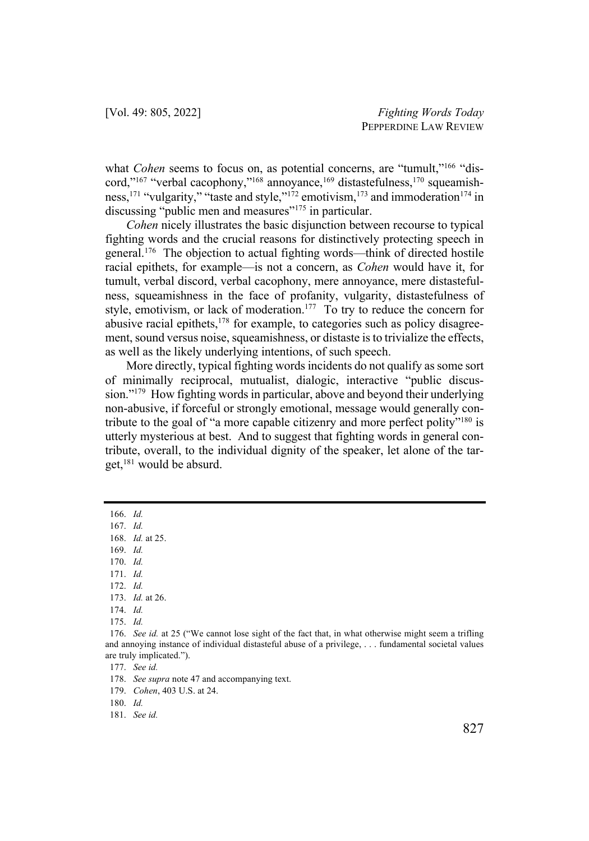what *Cohen* seems to focus on, as potential concerns, are "tumult,"<sup>166</sup> "discord,"<sup>167</sup> "verbal cacophony,"<sup>168</sup> annoyance,<sup>169</sup> distastefulness,<sup>170</sup> squeamishness,<sup>171</sup> "vulgarity," "taste and style,"<sup>172</sup> emotivism,<sup>173</sup> and immoderation<sup>174</sup> in discussing "public men and measures"<sup>175</sup> in particular.

*Cohen* nicely illustrates the basic disjunction between recourse to typical fighting words and the crucial reasons for distinctively protecting speech in general.176 The objection to actual fighting words—think of directed hostile racial epithets, for example—is not a concern, as *Cohen* would have it, for tumult, verbal discord, verbal cacophony, mere annoyance, mere distastefulness, squeamishness in the face of profanity, vulgarity, distastefulness of style, emotivism, or lack of moderation.<sup>177</sup> To try to reduce the concern for abusive racial epithets, $178$  for example, to categories such as policy disagreement, sound versus noise, squeamishness, or distaste is to trivialize the effects, as well as the likely underlying intentions, of such speech.

More directly, typical fighting words incidents do not qualify as some sort of minimally reciprocal, mutualist, dialogic, interactive "public discussion."179 How fighting words in particular, above and beyond their underlying non-abusive, if forceful or strongly emotional, message would generally contribute to the goal of "a more capable citizenry and more perfect polity"<sup>180</sup> is utterly mysterious at best. And to suggest that fighting words in general contribute, overall, to the individual dignity of the speaker, let alone of the target, $181$  would be absurd.

- 169. *Id.*
- 170. *Id.*
- 171. *Id.*
- 172. *Id.*
- 173. *Id.* at 26.
- 174. *Id.*
- 175. *Id.*

178. *See supra* note 47 and accompanying text.

179. *Cohen*, 403 U.S. at 24.

<sup>166.</sup> *Id.* 

<sup>167.</sup> *Id.*

<sup>168.</sup> *Id.* at 25.

<sup>176.</sup> *See id.* at 25 ("We cannot lose sight of the fact that, in what otherwise might seem a trifling and annoying instance of individual distasteful abuse of a privilege, . . . fundamental societal values are truly implicated.").

<sup>177.</sup> *See id.*

<sup>180.</sup> *Id.*

<sup>181.</sup> *See id.*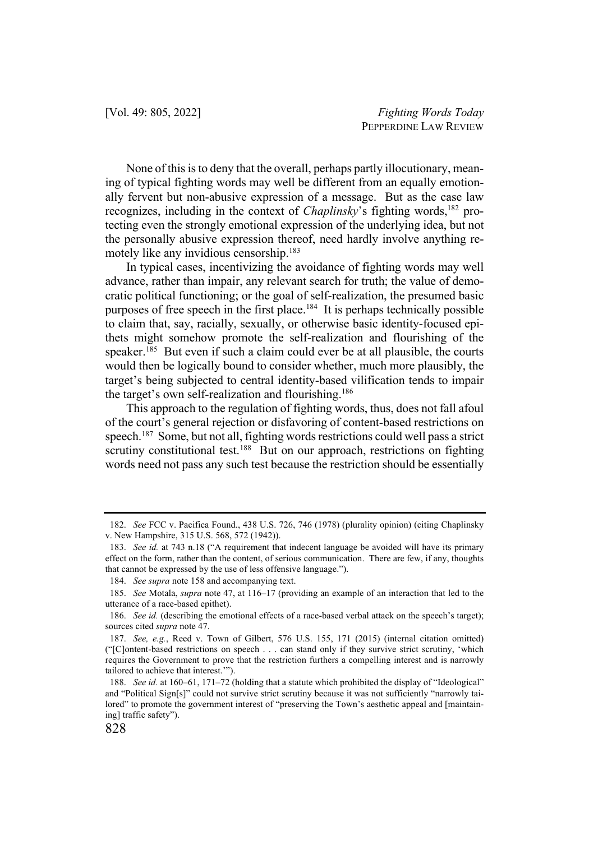None of this is to deny that the overall, perhaps partly illocutionary, meaning of typical fighting words may well be different from an equally emotionally fervent but non-abusive expression of a message. But as the case law recognizes, including in the context of *Chaplinsky*'s fighting words,<sup>182</sup> protecting even the strongly emotional expression of the underlying idea, but not the personally abusive expression thereof, need hardly involve anything remotely like any invidious censorship.<sup>183</sup>

In typical cases, incentivizing the avoidance of fighting words may well advance, rather than impair, any relevant search for truth; the value of democratic political functioning; or the goal of self-realization, the presumed basic purposes of free speech in the first place.184 It is perhaps technically possible to claim that, say, racially, sexually, or otherwise basic identity-focused epithets might somehow promote the self-realization and flourishing of the speaker.<sup>185</sup> But even if such a claim could ever be at all plausible, the courts would then be logically bound to consider whether, much more plausibly, the target's being subjected to central identity-based vilification tends to impair the target's own self-realization and flourishing.<sup>186</sup>

This approach to the regulation of fighting words, thus, does not fall afoul of the court's general rejection or disfavoring of content-based restrictions on speech.<sup>187</sup> Some, but not all, fighting words restrictions could well pass a strict scrutiny constitutional test.<sup>188</sup> But on our approach, restrictions on fighting words need not pass any such test because the restriction should be essentially

<sup>182.</sup> *See* FCC v. Pacifica Found., 438 U.S. 726, 746 (1978) (plurality opinion) (citing Chaplinsky v. New Hampshire, 315 U.S. 568, 572 (1942)).

<sup>183.</sup> *See id.* at 743 n.18 ("A requirement that indecent language be avoided will have its primary effect on the form, rather than the content, of serious communication. There are few, if any, thoughts that cannot be expressed by the use of less offensive language.").

<sup>184.</sup> *See supra* note 158 and accompanying text.

<sup>185.</sup> *See* Motala, *supra* note 47, at 116–17 (providing an example of an interaction that led to the utterance of a race-based epithet).

<sup>186.</sup> *See id.* (describing the emotional effects of a race-based verbal attack on the speech's target); sources cited *supra* note 47.

<sup>187.</sup> *See, e.g.*, Reed v. Town of Gilbert, 576 U.S. 155, 171 (2015) (internal citation omitted) ("[C]ontent-based restrictions on speech . . . can stand only if they survive strict scrutiny, 'which requires the Government to prove that the restriction furthers a compelling interest and is narrowly tailored to achieve that interest.'").

<sup>188.</sup> *See id.* at 160–61, 171–72 (holding that a statute which prohibited the display of "Ideological" and "Political Sign[s]" could not survive strict scrutiny because it was not sufficiently "narrowly tailored" to promote the government interest of "preserving the Town's aesthetic appeal and [maintaining] traffic safety").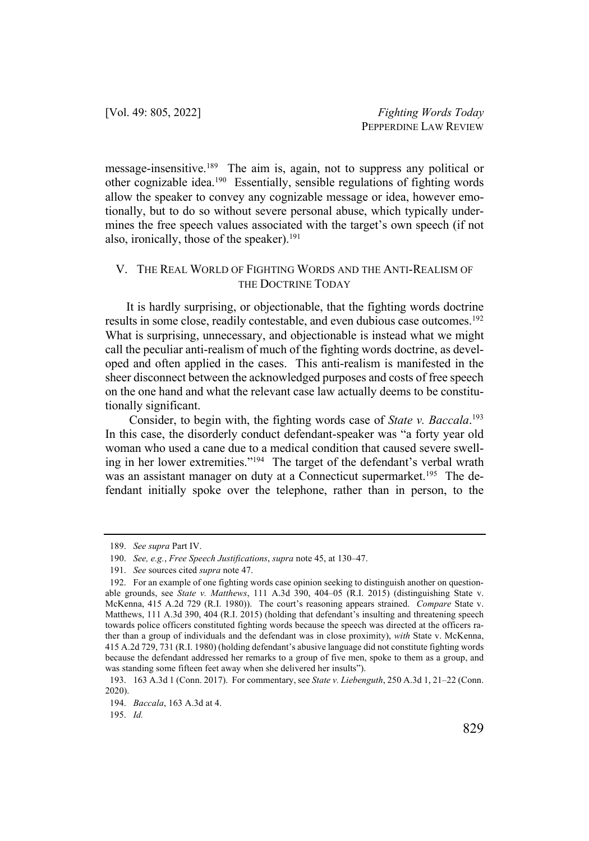message-insensitive.189 The aim is, again, not to suppress any political or other cognizable idea.190 Essentially, sensible regulations of fighting words allow the speaker to convey any cognizable message or idea, however emotionally, but to do so without severe personal abuse, which typically undermines the free speech values associated with the target's own speech (if not also, ironically, those of the speaker). 191

## V. THE REAL WORLD OF FIGHTING WORDS AND THE ANTI-REALISM OF THE DOCTRINE TODAY

It is hardly surprising, or objectionable, that the fighting words doctrine results in some close, readily contestable, and even dubious case outcomes.<sup>192</sup> What is surprising, unnecessary, and objectionable is instead what we might call the peculiar anti-realism of much of the fighting words doctrine, as developed and often applied in the cases. This anti-realism is manifested in the sheer disconnect between the acknowledged purposes and costs of free speech on the one hand and what the relevant case law actually deems to be constitutionally significant.

Consider, to begin with, the fighting words case of *State v. Baccala*. 193 In this case, the disorderly conduct defendant-speaker was "a forty year old woman who used a cane due to a medical condition that caused severe swelling in her lower extremities."194 The target of the defendant's verbal wrath was an assistant manager on duty at a Connecticut supermarket.<sup>195</sup> The defendant initially spoke over the telephone, rather than in person, to the

<sup>189.</sup> *See supra* Part IV.

<sup>190.</sup> *See, e.g.*, *Free Speech Justifications*, *supra* note 45, at 130–47.

<sup>191.</sup> *See* sources cited *supra* note 47.

<sup>192.</sup> For an example of one fighting words case opinion seeking to distinguish another on questionable grounds, see *State v. Matthews*, 111 A.3d 390, 404–05 (R.I. 2015) (distinguishing State v. McKenna, 415 A.2d 729 (R.I. 1980)). The court's reasoning appears strained. *Compare* State v. Matthews, 111 A.3d 390, 404 (R.I. 2015) (holding that defendant's insulting and threatening speech towards police officers constituted fighting words because the speech was directed at the officers rather than a group of individuals and the defendant was in close proximity), *with* State v. McKenna, 415 A.2d 729, 731 (R.I. 1980) (holding defendant's abusive language did not constitute fighting words because the defendant addressed her remarks to a group of five men, spoke to them as a group, and was standing some fifteen feet away when she delivered her insults").

<sup>193.</sup> 163 A.3d 1 (Conn. 2017). For commentary, see *State v. Liebenguth*, 250 A.3d 1, 21–22 (Conn. 2020).

<sup>194.</sup> *Baccala*, 163 A.3d at 4.

<sup>195.</sup> *Id.*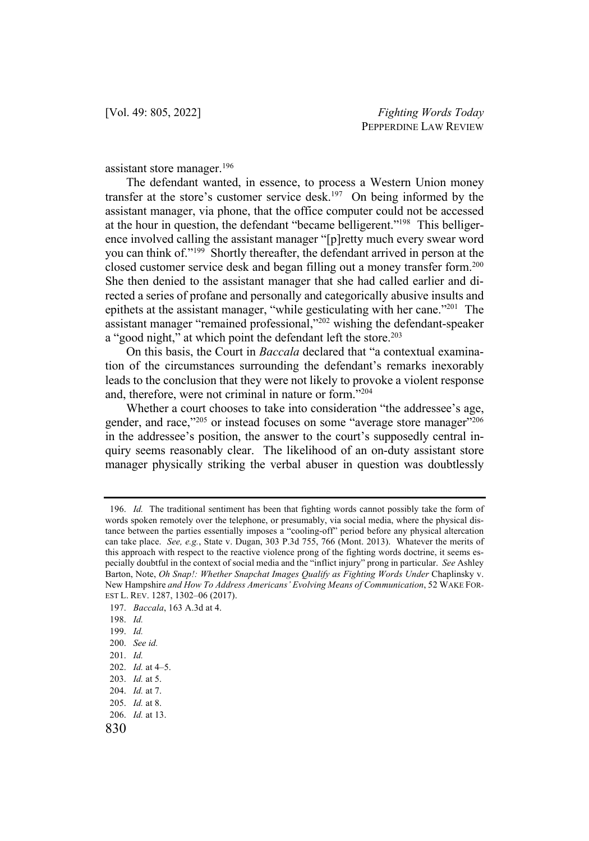assistant store manager.196

The defendant wanted, in essence, to process a Western Union money transfer at the store's customer service desk.<sup>197</sup> On being informed by the assistant manager, via phone, that the office computer could not be accessed at the hour in question, the defendant "became belligerent."198 This belligerence involved calling the assistant manager "[p]retty much every swear word you can think of."199 Shortly thereafter, the defendant arrived in person at the closed customer service desk and began filling out a money transfer form.200 She then denied to the assistant manager that she had called earlier and directed a series of profane and personally and categorically abusive insults and epithets at the assistant manager, "while gesticulating with her cane."201 The assistant manager "remained professional,"202 wishing the defendant-speaker a "good night," at which point the defendant left the store.<sup>203</sup>

On this basis, the Court in *Baccala* declared that "a contextual examination of the circumstances surrounding the defendant's remarks inexorably leads to the conclusion that they were not likely to provoke a violent response and, therefore, were not criminal in nature or form."204

Whether a court chooses to take into consideration "the addressee's age, gender, and race,"<sup>205</sup> or instead focuses on some "average store manager"<sup>206</sup> in the addressee's position, the answer to the court's supposedly central inquiry seems reasonably clear. The likelihood of an on-duty assistant store manager physically striking the verbal abuser in question was doubtlessly

<sup>196.</sup> *Id.* The traditional sentiment has been that fighting words cannot possibly take the form of words spoken remotely over the telephone, or presumably, via social media, where the physical distance between the parties essentially imposes a "cooling-off" period before any physical altercation can take place. *See, e.g.*, State v. Dugan, 303 P.3d 755, 766 (Mont. 2013). Whatever the merits of this approach with respect to the reactive violence prong of the fighting words doctrine, it seems especially doubtful in the context of social media and the "inflict injury" prong in particular. *See* Ashley Barton, Note, *Oh Snap!: Whether Snapchat Images Qualify as Fighting Words Under* Chaplinsky v. New Hampshire *and How To Address Americans' Evolving Means of Communication*, 52 WAKE FOR-EST L. REV. 1287, 1302–06 (2017).

<sup>197.</sup> *Baccala*, 163 A.3d at 4.

<sup>198.</sup> *Id.*

<sup>199.</sup> *Id.*

<sup>200.</sup> *See id.*

<sup>201.</sup> *Id.*

<sup>202.</sup> *Id.* at 4–5.

<sup>203.</sup> *Id.* at 5.

<sup>204.</sup> *Id.* at 7.

<sup>205.</sup> *Id.* at 8.

<sup>206.</sup> *Id.* at 13.

<sup>830</sup>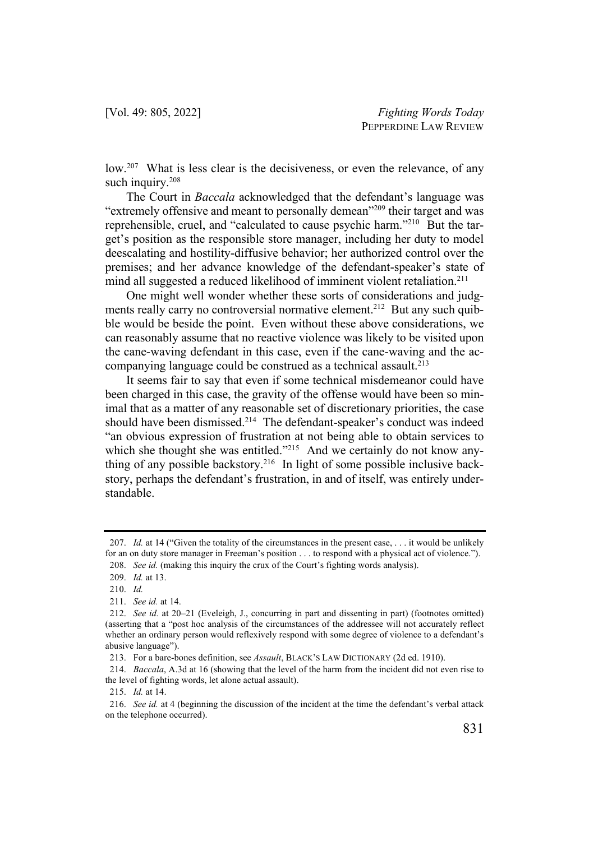low.<sup>207</sup> What is less clear is the decisiveness, or even the relevance, of any such inquiry.<sup>208</sup>

The Court in *Baccala* acknowledged that the defendant's language was "extremely offensive and meant to personally demean"<sup>209</sup> their target and was reprehensible, cruel, and "calculated to cause psychic harm."210 But the target's position as the responsible store manager, including her duty to model deescalating and hostility-diffusive behavior; her authorized control over the premises; and her advance knowledge of the defendant-speaker's state of mind all suggested a reduced likelihood of imminent violent retaliation.<sup>211</sup>

One might well wonder whether these sorts of considerations and judgments really carry no controversial normative element.<sup>212</sup> But any such quibble would be beside the point. Even without these above considerations, we can reasonably assume that no reactive violence was likely to be visited upon the cane-waving defendant in this case, even if the cane-waving and the accompanying language could be construed as a technical assault.<sup>213</sup>

It seems fair to say that even if some technical misdemeanor could have been charged in this case, the gravity of the offense would have been so minimal that as a matter of any reasonable set of discretionary priorities, the case should have been dismissed.<sup>214</sup> The defendant-speaker's conduct was indeed "an obvious expression of frustration at not being able to obtain services to which she thought she was entitled."<sup>215</sup> And we certainly do not know anything of any possible backstory.<sup>216</sup> In light of some possible inclusive backstory, perhaps the defendant's frustration, in and of itself, was entirely understandable.

<sup>207.</sup> *Id.* at 14 ("Given the totality of the circumstances in the present case, ... it would be unlikely for an on duty store manager in Freeman's position . . . to respond with a physical act of violence."). 208. *See id.* (making this inquiry the crux of the Court's fighting words analysis).

<sup>209.</sup> *Id.* at 13.

<sup>210.</sup> *Id.*

<sup>211.</sup> *See id.* at 14.

<sup>212.</sup> *See id.* at 20–21 (Eveleigh, J., concurring in part and dissenting in part) (footnotes omitted) (asserting that a "post hoc analysis of the circumstances of the addressee will not accurately reflect whether an ordinary person would reflexively respond with some degree of violence to a defendant's abusive language").

<sup>213.</sup> For a bare-bones definition, see *Assault*, BLACK'S LAW DICTIONARY (2d ed. 1910).

<sup>214.</sup> *Baccala*, A.3d at 16 (showing that the level of the harm from the incident did not even rise to the level of fighting words, let alone actual assault).

<sup>215.</sup> *Id.* at 14.

<sup>216.</sup> *See id.* at 4 (beginning the discussion of the incident at the time the defendant's verbal attack on the telephone occurred).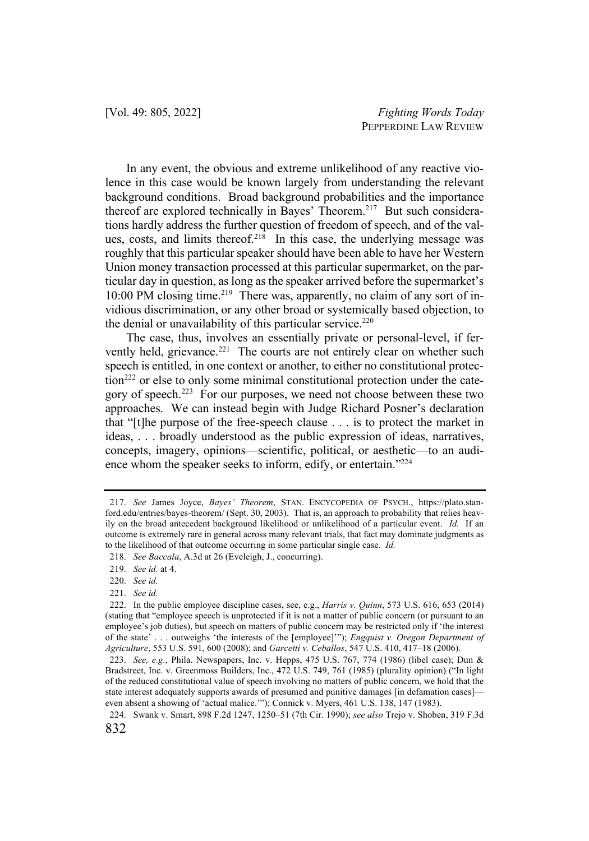In any event, the obvious and extreme unlikelihood of any reactive violence in this case would be known largely from understanding the relevant background conditions. Broad background probabilities and the importance thereof are explored technically in Bayes' Theorem.<sup>217</sup> But such considerations hardly address the further question of freedom of speech, and of the values, costs, and limits thereof.<sup>218</sup> In this case, the underlying message was roughly that this particular speaker should have been able to have her Western Union money transaction processed at this particular supermarket, on the particular day in question, as long as the speaker arrived before the supermarket's 10:00 PM closing time.<sup>219</sup> There was, apparently, no claim of any sort of invidious discrimination, or any other broad or systemically based objection, to the denial or unavailability of this particular service.<sup>220</sup>

The case, thus, involves an essentially private or personal-level, if fervently held, grievance.<sup>221</sup> The courts are not entirely clear on whether such speech is entitled, in one context or another, to either no constitutional protection<sup>222</sup> or else to only some minimal constitutional protection under the category of speech.223 For our purposes, we need not choose between these two approaches. We can instead begin with Judge Richard Posner's declaration that "[t]he purpose of the free-speech clause . . . is to protect the market in ideas, . . . broadly understood as the public expression of ideas, narratives, concepts, imagery, opinions—scientific, political, or aesthetic—to an audience whom the speaker seeks to inform, edify, or entertain."<sup>224</sup>

<sup>217.</sup> *See* James Joyce, *Bayes' Theorem*, STAN. ENCYCOPEDIA OF PSYCH., https://plato.stanford.edu/entries/bayes-theorem/ (Sept. 30, 2003). That is, an approach to probability that relies heavily on the broad antecedent background likelihood or unlikelihood of a particular event. *Id.* If an outcome is extremely rare in general across many relevant trials, that fact may dominate judgments as to the likelihood of that outcome occurring in some particular single case. *Id.*

<sup>218.</sup> *See Baccala*, A.3d at 26 (Eveleigh, J., concurring).

<sup>219.</sup> *See id.* at 4.

<sup>220.</sup> *See id.*

<sup>221.</sup> *See id.*

<sup>222.</sup> In the public employee discipline cases, see, e.g., *Harris v. Quinn*, 573 U.S. 616, 653 (2014) (stating that "employee speech is unprotected if it is not a matter of public concern (or pursuant to an employee's job duties), but speech on matters of public concern may be restricted only if 'the interest of the state' . . . outweighs 'the interests of the [employee]'"); *Engquist v. Oregon Department of Agriculture*, 553 U.S. 591, 600 (2008); and *Garcetti v. Ceballos*, 547 U.S. 410, 417–18 (2006).

<sup>223.</sup> *See, e.g.*, Phila. Newspapers, Inc. v. Hepps, 475 U.S. 767, 774 (1986) (libel case); Dun & Bradstreet, Inc. v. Greenmoss Builders, Inc., 472 U.S. 749, 761 (1985) (plurality opinion) ("In light of the reduced constitutional value of speech involving no matters of public concern, we hold that the state interest adequately supports awards of presumed and punitive damages [in defamation cases] even absent a showing of 'actual malice.'"); Connick v. Myers, 461 U.S. 138, 147 (1983).

<sup>832</sup> 224. Swank v. Smart, 898 F.2d 1247, 1250–51 (7th Cir. 1990); *see also* Trejo v. Shoben, 319 F.3d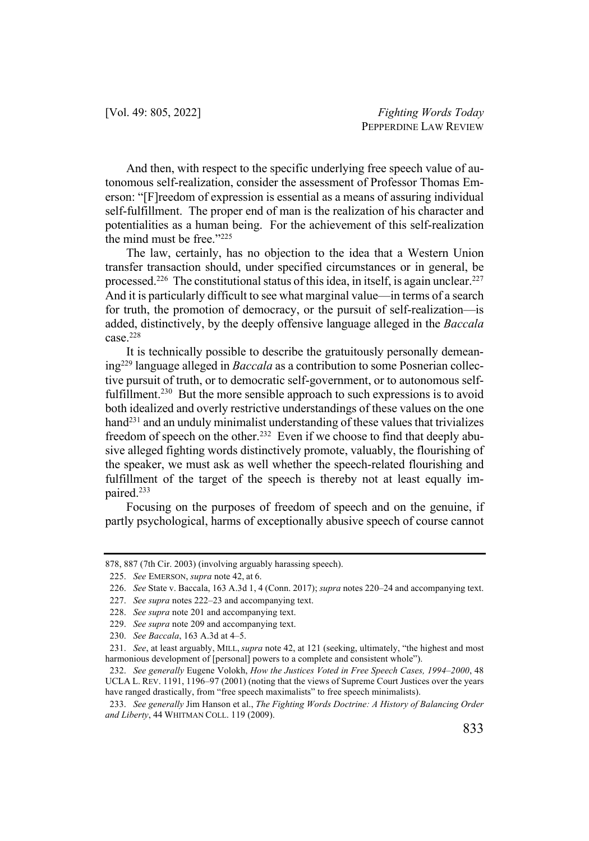And then, with respect to the specific underlying free speech value of autonomous self-realization, consider the assessment of Professor Thomas Emerson: "[F]reedom of expression is essential as a means of assuring individual self-fulfillment. The proper end of man is the realization of his character and potentialities as a human being. For the achievement of this self-realization the mind must be free."225

The law, certainly, has no objection to the idea that a Western Union transfer transaction should, under specified circumstances or in general, be processed.<sup>226</sup> The constitutional status of this idea, in itself, is again unclear.<sup>227</sup> And it is particularly difficult to see what marginal value—in terms of a search for truth, the promotion of democracy, or the pursuit of self-realization—is added, distinctively, by the deeply offensive language alleged in the *Baccala*  $case.<sup>228</sup>$ 

It is technically possible to describe the gratuitously personally demeaning229 language alleged in *Baccala* as a contribution to some Posnerian collective pursuit of truth, or to democratic self-government, or to autonomous selffulfillment.<sup>230</sup> But the more sensible approach to such expressions is to avoid both idealized and overly restrictive understandings of these values on the one hand<sup>231</sup> and an unduly minimalist understanding of these values that trivializes freedom of speech on the other.<sup>232</sup> Even if we choose to find that deeply abusive alleged fighting words distinctively promote, valuably, the flourishing of the speaker, we must ask as well whether the speech-related flourishing and fulfillment of the target of the speech is thereby not at least equally impaired.233

Focusing on the purposes of freedom of speech and on the genuine, if partly psychological, harms of exceptionally abusive speech of course cannot

<sup>878, 887 (7</sup>th Cir. 2003) (involving arguably harassing speech).

<sup>225.</sup> *See* EMERSON, *supra* note 42, at 6.

<sup>226.</sup> *See* State v. Baccala, 163 A.3d 1, 4 (Conn. 2017); *supra* notes 220–24 and accompanying text.

<sup>227.</sup> *See supra* notes 222–23 and accompanying text.

<sup>228.</sup> *See supra* note 201 and accompanying text.

<sup>229.</sup> *See supra* note 209 and accompanying text.

<sup>230.</sup> *See Baccala*, 163 A.3d at 4–5.

<sup>231.</sup> *See*, at least arguably, MILL, *supra* note 42, at 121 (seeking, ultimately, "the highest and most harmonious development of [personal] powers to a complete and consistent whole").

<sup>232.</sup> *See generally* Eugene Volokh, *How the Justices Voted in Free Speech Cases, 1994–2000*, 48 UCLA L. REV. 1191, 1196–97 (2001) (noting that the views of Supreme Court Justices over the years have ranged drastically, from "free speech maximalists" to free speech minimalists).

<sup>233.</sup> *See generally* Jim Hanson et al., *The Fighting Words Doctrine: A History of Balancing Order and Liberty*, 44 WHITMAN COLL. 119 (2009).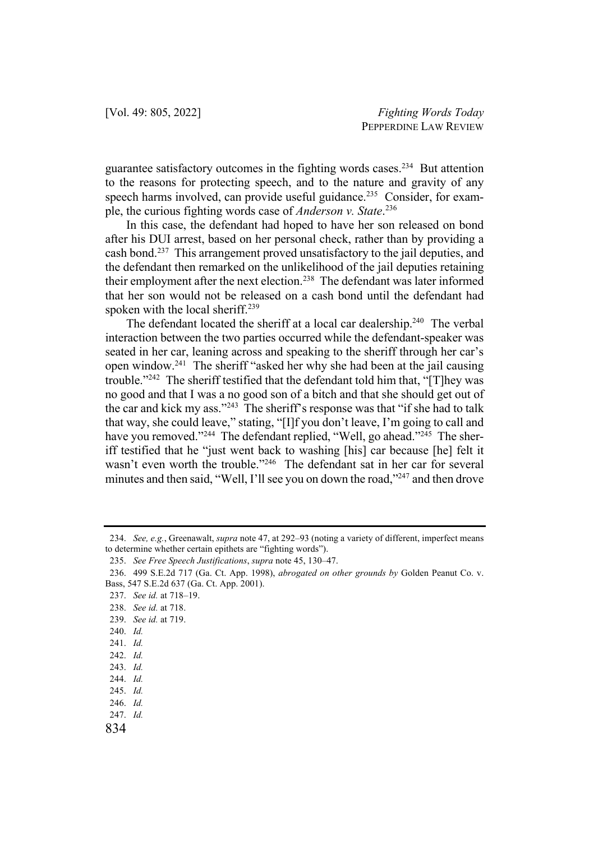guarantee satisfactory outcomes in the fighting words cases.234 But attention to the reasons for protecting speech, and to the nature and gravity of any speech harms involved, can provide useful guidance.<sup>235</sup> Consider, for example, the curious fighting words case of *Anderson v. State*. 236

In this case, the defendant had hoped to have her son released on bond after his DUI arrest, based on her personal check, rather than by providing a cash bond.237 This arrangement proved unsatisfactory to the jail deputies, and the defendant then remarked on the unlikelihood of the jail deputies retaining their employment after the next election.<sup>238</sup> The defendant was later informed that her son would not be released on a cash bond until the defendant had spoken with the local sheriff.<sup>239</sup>

The defendant located the sheriff at a local car dealership.<sup>240</sup> The verbal interaction between the two parties occurred while the defendant-speaker was seated in her car, leaning across and speaking to the sheriff through her car's open window.241 The sheriff "asked her why she had been at the jail causing trouble."242 The sheriff testified that the defendant told him that, "[T]hey was no good and that I was a no good son of a bitch and that she should get out of the car and kick my ass."243 The sheriff's response was that "if she had to talk that way, she could leave," stating, "[I]f you don't leave, I'm going to call and have you removed."<sup>244</sup> The defendant replied, "Well, go ahead."<sup>245</sup> The sheriff testified that he "just went back to washing [his] car because [he] felt it wasn't even worth the trouble."<sup>246</sup> The defendant sat in her car for several minutes and then said, "Well, I'll see you on down the road,"<sup>247</sup> and then drove

<sup>234.</sup> *See, e.g.*, Greenawalt, *supra* note 47, at 292–93 (noting a variety of different, imperfect means to determine whether certain epithets are "fighting words").

<sup>235.</sup> *See Free Speech Justifications*, *supra* note 45, 130–47.

<sup>236.</sup> 499 S.E.2d 717 (Ga. Ct. App. 1998), *abrogated on other grounds by* Golden Peanut Co. v. Bass, 547 S.E.2d 637 (Ga. Ct. App. 2001).

<sup>237.</sup> *See id.* at 718–19.

<sup>238.</sup> *See id.* at 718.

<sup>239.</sup> *See id.* at 719.

<sup>240.</sup> *Id.*

<sup>241.</sup> *Id.*

<sup>242.</sup> *Id.*

<sup>243.</sup> *Id.*

<sup>244.</sup> *Id.*

<sup>245.</sup> *Id.*

<sup>246.</sup> *Id.*

<sup>247.</sup> *Id.*

<sup>834</sup>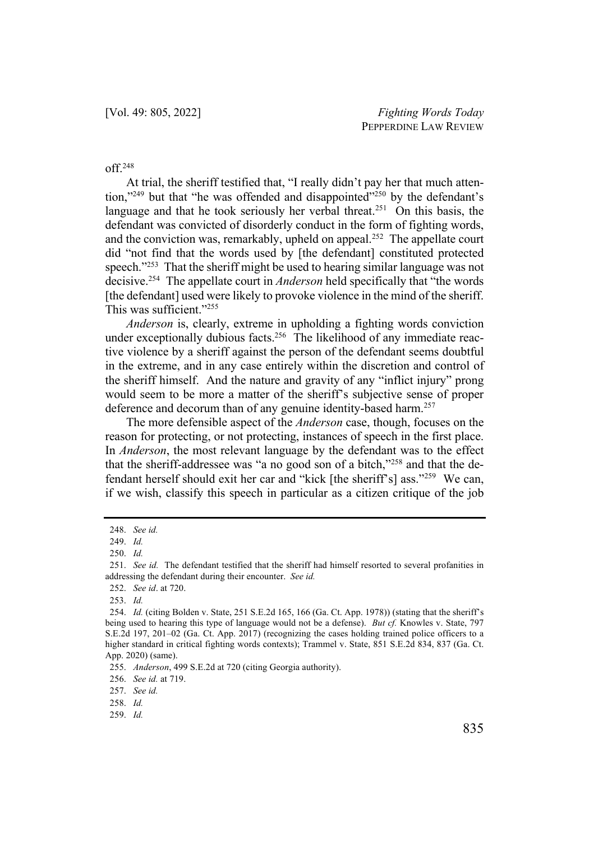#### off.248

At trial, the sheriff testified that, "I really didn't pay her that much attention," $249$  but that "he was offended and disappointed" $250$  by the defendant's language and that he took seriously her verbal threat.<sup>251</sup> On this basis, the defendant was convicted of disorderly conduct in the form of fighting words, and the conviction was, remarkably, upheld on appeal.<sup>252</sup> The appellate court did "not find that the words used by [the defendant] constituted protected speech."<sup>253</sup> That the sheriff might be used to hearing similar language was not decisive.254 The appellate court in *Anderson* held specifically that "the words [the defendant] used were likely to provoke violence in the mind of the sheriff. This was sufficient."255

*Anderson* is, clearly, extreme in upholding a fighting words conviction under exceptionally dubious facts.<sup>256</sup> The likelihood of any immediate reactive violence by a sheriff against the person of the defendant seems doubtful in the extreme, and in any case entirely within the discretion and control of the sheriff himself. And the nature and gravity of any "inflict injury" prong would seem to be more a matter of the sheriff's subjective sense of proper deference and decorum than of any genuine identity-based harm.<sup>257</sup>

The more defensible aspect of the *Anderson* case, though, focuses on the reason for protecting, or not protecting, instances of speech in the first place. In *Anderson*, the most relevant language by the defendant was to the effect that the sheriff-addressee was "a no good son of a bitch,"258 and that the defendant herself should exit her car and "kick [the sheriff's] ass."259 We can, if we wish, classify this speech in particular as a citizen critique of the job

255. *Anderson*, 499 S.E.2d at 720 (citing Georgia authority).

256. *See id.* at 719.

257. *See id.*

258. *Id.*

259. *Id.*

<sup>248.</sup> *See id.*

<sup>249.</sup> *Id.*

<sup>250.</sup> *Id.*

<sup>251.</sup> *See id.* The defendant testified that the sheriff had himself resorted to several profanities in addressing the defendant during their encounter. *See id.*

<sup>252.</sup> *See id*. at 720.

<sup>253.</sup> *Id.*

<sup>254.</sup> *Id.* (citing Bolden v. State, 251 S.E.2d 165, 166 (Ga. Ct. App. 1978)) (stating that the sheriff's being used to hearing this type of language would not be a defense). *But cf.* Knowles v. State, 797 S.E.2d 197, 201–02 (Ga. Ct. App. 2017) (recognizing the cases holding trained police officers to a higher standard in critical fighting words contexts); Trammel v. State, 851 S.E.2d 834, 837 (Ga. Ct. App. 2020) (same).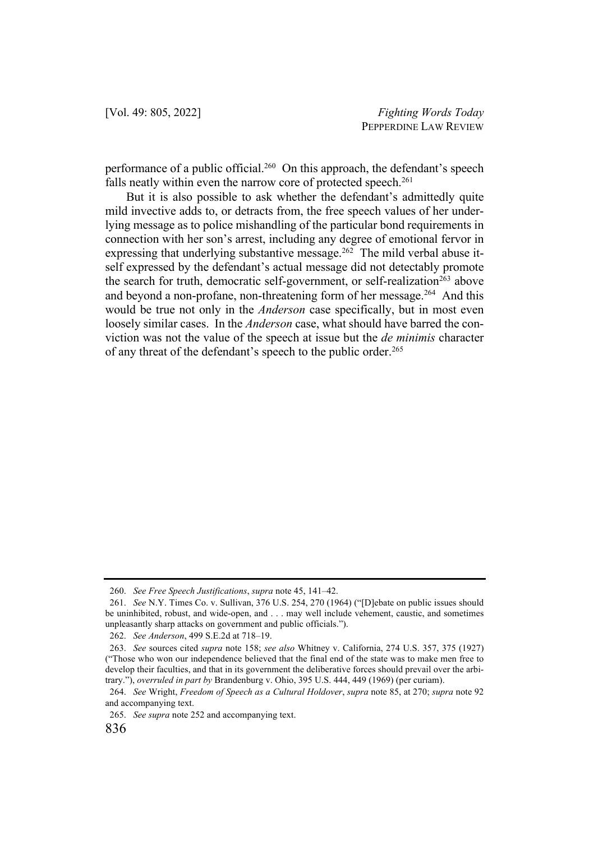performance of a public official.260 On this approach, the defendant's speech falls neatly within even the narrow core of protected speech.<sup>261</sup>

But it is also possible to ask whether the defendant's admittedly quite mild invective adds to, or detracts from, the free speech values of her underlying message as to police mishandling of the particular bond requirements in connection with her son's arrest, including any degree of emotional fervor in expressing that underlying substantive message.<sup>262</sup> The mild verbal abuse itself expressed by the defendant's actual message did not detectably promote the search for truth, democratic self-government, or self-realization<sup>263</sup> above and beyond a non-profane, non-threatening form of her message.<sup>264</sup> And this would be true not only in the *Anderson* case specifically, but in most even loosely similar cases. In the *Anderson* case, what should have barred the conviction was not the value of the speech at issue but the *de minimis* character of any threat of the defendant's speech to the public order.<sup>265</sup>

<sup>260.</sup> *See Free Speech Justifications*, *supra* note 45, 141–42.

<sup>261.</sup> *See* N.Y. Times Co. v. Sullivan, 376 U.S. 254, 270 (1964) ("[D]ebate on public issues should be uninhibited, robust, and wide-open, and . . . may well include vehement, caustic, and sometimes unpleasantly sharp attacks on government and public officials.").

<sup>262.</sup> *See Anderson*, 499 S.E.2d at 718–19.

<sup>263.</sup> *See* sources cited *supra* note 158; *see also* Whitney v. California, 274 U.S. 357, 375 (1927) ("Those who won our independence believed that the final end of the state was to make men free to develop their faculties, and that in its government the deliberative forces should prevail over the arbitrary."), *overruled in part by* Brandenburg v. Ohio, 395 U.S. 444, 449 (1969) (per curiam).

<sup>264.</sup> *See* Wright, *Freedom of Speech as a Cultural Holdover*, *supra* note 85, at 270; *supra* note 92 and accompanying text.

<sup>265.</sup> *See supra* note 252 and accompanying text.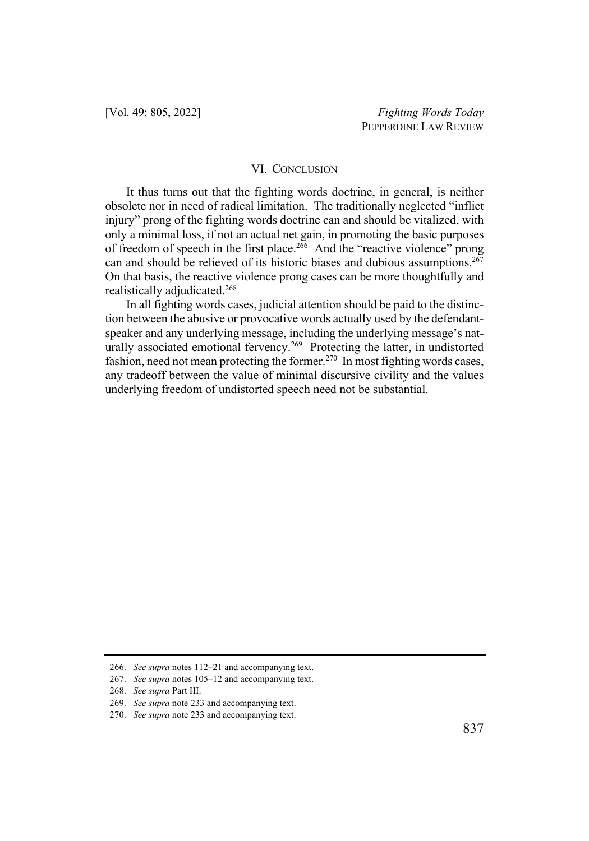#### VI. CONCLUSION

It thus turns out that the fighting words doctrine, in general, is neither obsolete nor in need of radical limitation. The traditionally neglected "inflict injury" prong of the fighting words doctrine can and should be vitalized, with only a minimal loss, if not an actual net gain, in promoting the basic purposes of freedom of speech in the first place.<sup>266</sup> And the "reactive violence" prong can and should be relieved of its historic biases and dubious assumptions.<sup>267</sup> On that basis, the reactive violence prong cases can be more thoughtfully and realistically adjudicated.268

In all fighting words cases, judicial attention should be paid to the distinction between the abusive or provocative words actually used by the defendantspeaker and any underlying message, including the underlying message's naturally associated emotional fervency.<sup>269</sup> Protecting the latter, in undistorted fashion, need not mean protecting the former.<sup>270</sup> In most fighting words cases, any tradeoff between the value of minimal discursive civility and the values underlying freedom of undistorted speech need not be substantial.

<sup>266.</sup> *See supra* notes 112–21 and accompanying text.

<sup>267.</sup> *See supra* notes 105–12 and accompanying text.

<sup>268.</sup> *See supra* Part III.

<sup>269.</sup> *See supra* note 233 and accompanying text.

<sup>270.</sup> *See supra* note 233 and accompanying text.